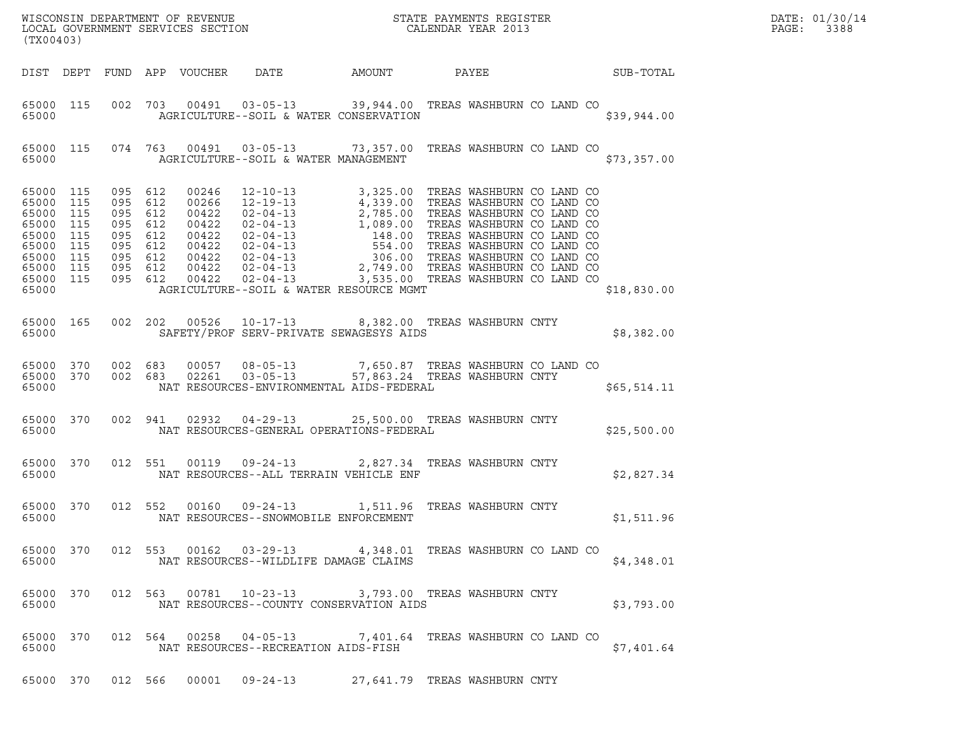| (TX00403)                                                                                                                  |           |  |                                             |                                                                                                                                                                                                                                                                                |  |             | DATE: 01/30/14<br>PAGE:<br>3388 |
|----------------------------------------------------------------------------------------------------------------------------|-----------|--|---------------------------------------------|--------------------------------------------------------------------------------------------------------------------------------------------------------------------------------------------------------------------------------------------------------------------------------|--|-------------|---------------------------------|
|                                                                                                                            |           |  |                                             | DIST DEPT FUND APP VOUCHER DATE AMOUNT PAYEE TO SUB-TOTAL                                                                                                                                                                                                                      |  |             |                                 |
| 65000                                                                                                                      | 65000 115 |  |                                             | 002 703 00491 03-05-13 39,944.00 TREAS WASHBURN CO LAND CO<br>AGRICULTURE--SOIL & WATER CONSERVATION                                                                                                                                                                           |  | \$39,944.00 |                                 |
|                                                                                                                            |           |  |                                             | 65000 115 074 763 00491 03-05-13 73,357.00 TREAS WASHBURN CO LAND CO<br>65000   AGRICULTURE--SOIL & WATER MANAGEMENT                                                                                                                                                           |  | \$73,357.00 |                                 |
| 65000 115<br>65000 115<br>65000 115<br>65000 115<br>65000 115<br>65000 115<br>65000 115<br>65000 115<br>65000 115<br>65000 |           |  |                                             | 095 612 00246 12-10-13 3,325.00 TREAS WASHBURN CO LAND CO<br>095 612 00266 12-19-13 4,339.00 TREAS WASHBURN CO LAND CO<br>095 612 00422 02-04-13 1,089.00 TREAS WASHBURN CO LAND CO<br>095 612 00422 02-04-13 148.00 TREAS WASHBURN<br>AGRICULTURE--SOIL & WATER RESOURCE MGMT |  | \$18,830.00 |                                 |
| 65000 165                                                                                                                  | 65000 000 |  |                                             | 002 202 00526 10-17-13 8,382.00 TREAS WASHBURN CNTY<br>SAFETY/PROF SERV-PRIVATE SEWAGESYS AIDS                                                                                                                                                                                 |  | \$8,382.00  |                                 |
| 65000 370<br>65000 370                                                                                                     |           |  |                                             | 002 683 00057 08-05-13 7,650.87 TREAS WASHBURN CO LAND CO<br>002 683 02261 03-05-13 57,863.24 TREAS WASHBURN CNTY<br>65000 NAT RESOURCES-ENVIRONMENTAL AIDS-FEDERAL                                                                                                            |  | \$65,514.11 |                                 |
|                                                                                                                            | 65000 370 |  |                                             | 002 941 02932 04-29-13 25,500.00 TREAS WASHBURN CNTY                                                                                                                                                                                                                           |  | \$25,500.00 |                                 |
|                                                                                                                            | 65000 370 |  |                                             | 012 551 00119 09-24-13 2,827.34 TREAS WASHBURN CNTY                                                                                                                                                                                                                            |  | \$2,827.34  |                                 |
|                                                                                                                            | 65000 370 |  | 65000 NAT RESOURCES--SNOWMOBILE ENFORCEMENT | 012 552 00160 09-24-13 1,511.96 TREAS WASHBURN CNTY                                                                                                                                                                                                                            |  | \$1,511.96  |                                 |
| 65000                                                                                                                      | 65000 370 |  |                                             | 012 553 00162 03-29-13 4,348.01 TREAS WASHBURN CO LAND CO<br>NAT RESOURCES--WILDLIFE DAMAGE CLAIMS                                                                                                                                                                             |  | \$4,348.01  |                                 |
| 65000 370<br>65000                                                                                                         |           |  |                                             | 012 563 00781 10-23-13 3,793.00 TREAS WASHBURN CNTY<br>NAT RESOURCES--COUNTY CONSERVATION AIDS                                                                                                                                                                                 |  | \$3,793.00  |                                 |
| 65000 370<br>65000                                                                                                         |           |  | NAT RESOURCES--RECREATION AIDS-FISH         | 012 564 00258 04-05-13 7,401.64 TREAS WASHBURN CO LAND CO                                                                                                                                                                                                                      |  | \$7,401.64  |                                 |
|                                                                                                                            |           |  |                                             | 65000 370 012 566 00001 09-24-13 27,641.79 TREAS WASHBURN CNTY                                                                                                                                                                                                                 |  |             |                                 |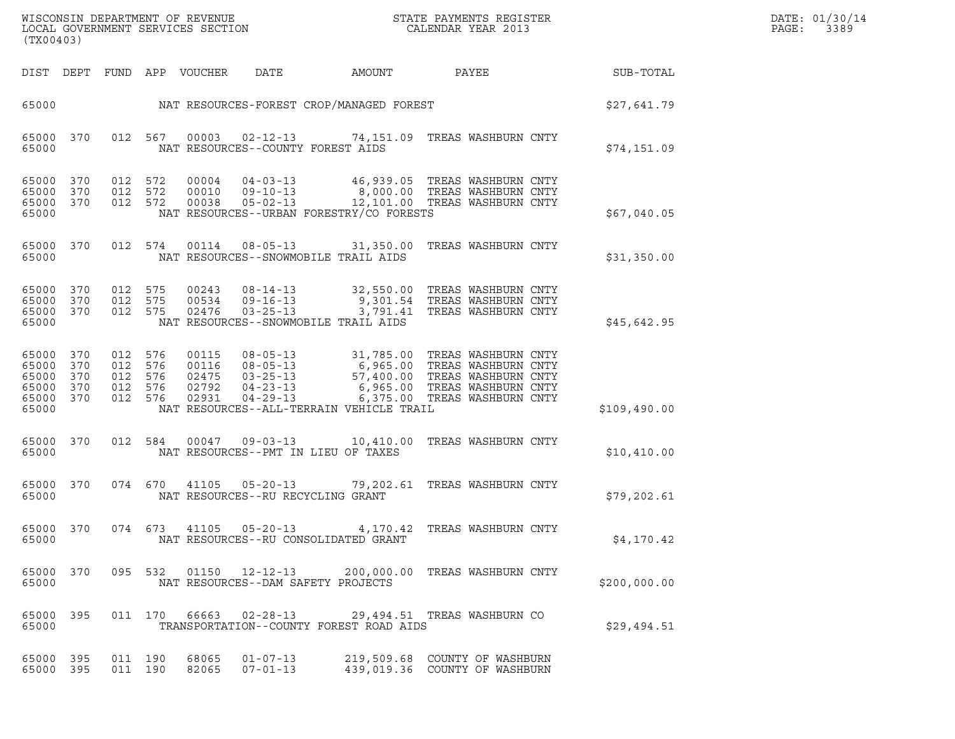| DATE: | 01/30/14 |
|-------|----------|
| PAGE: | 3389     |

| (TX00403)                                                                     |                                                                                                                                                                                                                                                                                                                                                                                                           | DATE: 01/30/14<br>PAGE:<br>3389 |
|-------------------------------------------------------------------------------|-----------------------------------------------------------------------------------------------------------------------------------------------------------------------------------------------------------------------------------------------------------------------------------------------------------------------------------------------------------------------------------------------------------|---------------------------------|
|                                                                               | DIST DEPT FUND APP VOUCHER<br>DATE AMOUNT<br><b>PAYEE</b> FOR THE STATE OF THE STATE OF THE STATE OF THE STATE OF THE STATE OF THE STATE OF THE STATE OF THE STATE OF THE STATE OF THE STATE OF THE STATE OF THE STATE OF THE STATE OF THE STATE OF THE STATE OF THE STATE OF TH<br>SUB-TOTAL                                                                                                             |                                 |
|                                                                               | 65000 NAT RESOURCES-FOREST CROP/MANAGED FOREST STAR (\$27,641.79                                                                                                                                                                                                                                                                                                                                          |                                 |
| 65000 370<br>65000                                                            | 012 567 00003 02-12-13 74,151.09 TREAS WASHBURN CNTY<br>NAT RESOURCES--COUNTY FOREST AIDS<br>\$74,151.09                                                                                                                                                                                                                                                                                                  |                                 |
| 65000 370<br>65000 370<br>65000 370<br>65000                                  | 012 572<br>012 572<br>012 572<br>NAT RESOURCES--URBAN FORESTRY/CO FORESTS<br>\$67,040.05                                                                                                                                                                                                                                                                                                                  |                                 |
| 65000 370<br>65000                                                            | 012 574 00114 08-05-13 31,350.00 TREAS WASHBURN CNTY<br>NAT RESOURCES--SNOWMOBILE TRAIL AIDS<br>\$31,350.00                                                                                                                                                                                                                                                                                               |                                 |
| 65000 370<br>65000 370<br>65000 370<br>65000                                  | $\begin{array}{cccc} 00243 & 08\text{--}14\text{--}13 & 32,550.00 & \text{TREAS WASHBURN CNTY} \\ 00534 & 09\text{--}16\text{--}13 & 9,301.54 & \text{TREAS WASHBURN CNTY} \end{array}$<br>012 575<br>012 575<br>$00534$ $09-16-13$ 9, 301.54<br>$00534$ $09-16-13$ 9, 301.41<br>$00476$ $03-25-13$ $3$ , 791.41<br>012 575<br>TREAS WASHBURN CNTY<br>NAT RESOURCES--SNOWMOBILE TRAIL AIDS<br>\$45,642.95 |                                 |
| 65000 370<br>65000 370<br>65000 370<br>012<br>65000 370<br>65000 370<br>65000 | 00115 08-05-13 31,785.00 TREAS WASHBURN CNTY<br>00116 08-05-13 6,965.00 TREAS WASHBURN CNTY<br>02475 03-25-13 57,400.00 TREAS WASHBURN CNTY<br>02792 04-23-13 6,965.00 TREAS WASHBURN CNTY<br>02931 04-29-13 6,375.00 TREAS WASHBURN C<br>012 576<br>012 576<br>576<br>012 576<br>012 576<br>NAT RESOURCES--ALL-TERRAIN VEHICLE TRAIL<br>\$109,490.00                                                     |                                 |
| 65000 370<br>65000                                                            | 00047  09-03-13  10,410.00  TREAS WASHBURN CNTY<br>012 584<br>NAT RESOURCES--PMT IN LIEU OF TAXES<br>\$10,410.00                                                                                                                                                                                                                                                                                          |                                 |
| 65000                                                                         | 65000 370 074 670 41105 05-20-13 79,202.61 TREAS WASHBURN CNTY<br>NAT RESOURCES--RU RECYCLING GRANT<br>\$79,202.61                                                                                                                                                                                                                                                                                        |                                 |
| 65000 370<br>65000                                                            | 074 673 41105 05-20-13 4,170.42 TREAS WASHBURN CNTY<br>NAT RESOURCES--RU CONSOLIDATED GRANT<br>\$4,170.42                                                                                                                                                                                                                                                                                                 |                                 |
| 65000 370<br>65000                                                            | 095 532 01150 12-12-13 200,000.00 TREAS WASHBURN CNTY<br>NAT RESOURCES--DAM SAFETY PROJECTS<br>\$200,000.00                                                                                                                                                                                                                                                                                               |                                 |
| 65000 395<br>65000                                                            | 011 170 66663 02-28-13<br>29,494.51 TREAS WASHBURN CO<br>TRANSPORTATION--COUNTY FOREST ROAD AIDS<br>\$29,494.51                                                                                                                                                                                                                                                                                           |                                 |
| 65000 395<br>65000 395                                                        | 011 190<br>68065<br>$01 - 07 - 13$<br>219,509.68 COUNTY OF WASHBURN<br>011 190<br>82065<br>$07 - 01 - 13$<br>439,019.36 COUNTY OF WASHBURN                                                                                                                                                                                                                                                                |                                 |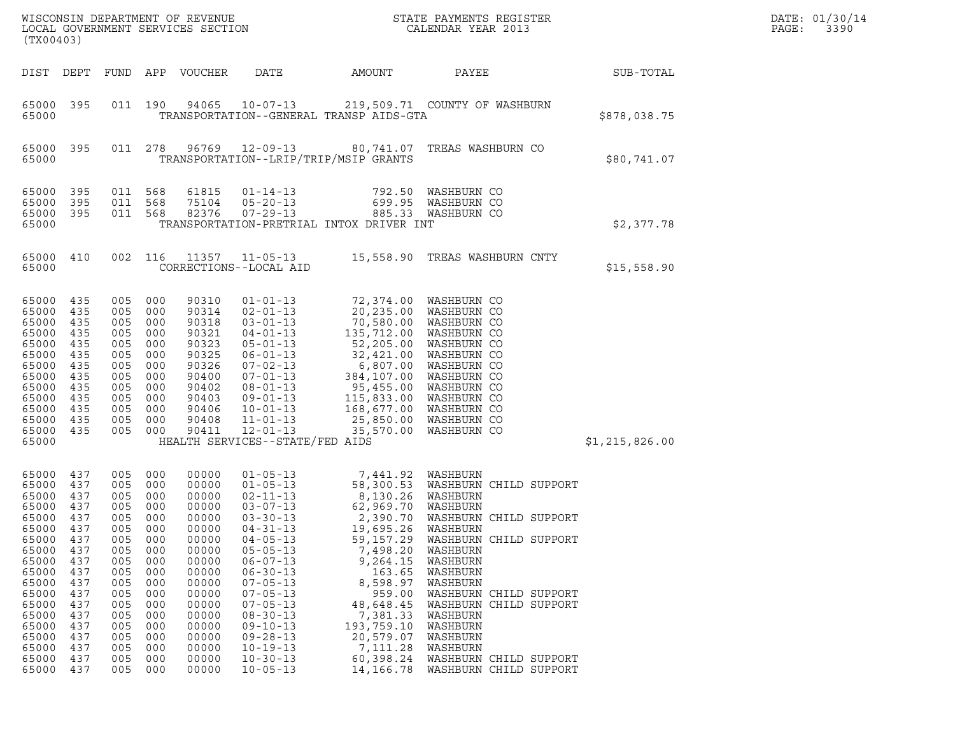| (TX00403)                                                                                                                                                               |                                                                                                                                   |                                                                                                                                   |                                                                                                                                   | WISCONSIN DEPARTMENT OF REVENUE<br>LOCAL GOVERNMENT SERVICES SECTION                                                                                                    |                                                                                                                                                                                                                                                                                                                                                    |                                                                                                                                                                                                                                                       | STATE PAYMENTS REGISTER<br>CALENDAR YEAR 2013                                                                                                                                                                                                                                                            |                | DATE: 01/30/14<br>PAGE:<br>3390 |
|-------------------------------------------------------------------------------------------------------------------------------------------------------------------------|-----------------------------------------------------------------------------------------------------------------------------------|-----------------------------------------------------------------------------------------------------------------------------------|-----------------------------------------------------------------------------------------------------------------------------------|-------------------------------------------------------------------------------------------------------------------------------------------------------------------------|----------------------------------------------------------------------------------------------------------------------------------------------------------------------------------------------------------------------------------------------------------------------------------------------------------------------------------------------------|-------------------------------------------------------------------------------------------------------------------------------------------------------------------------------------------------------------------------------------------------------|----------------------------------------------------------------------------------------------------------------------------------------------------------------------------------------------------------------------------------------------------------------------------------------------------------|----------------|---------------------------------|
| DIST DEPT                                                                                                                                                               |                                                                                                                                   | FUND APP                                                                                                                          |                                                                                                                                   | VOUCHER                                                                                                                                                                 | DATE                                                                                                                                                                                                                                                                                                                                               | AMOUNT                                                                                                                                                                                                                                                | PAYEE                                                                                                                                                                                                                                                                                                    | SUB-TOTAL      |                                 |
| 65000<br>65000                                                                                                                                                          | 395                                                                                                                               |                                                                                                                                   | 011 190                                                                                                                           | 94065                                                                                                                                                                   | $10 - 07 - 13$                                                                                                                                                                                                                                                                                                                                     | TRANSPORTATION--GENERAL TRANSP AIDS-GTA                                                                                                                                                                                                               | 219,509.71 COUNTY OF WASHBURN                                                                                                                                                                                                                                                                            | \$878,038.75   |                                 |
| 65000<br>65000                                                                                                                                                          | 395                                                                                                                               | 011 278                                                                                                                           |                                                                                                                                   | 96769                                                                                                                                                                   | $12 - 09 - 13$                                                                                                                                                                                                                                                                                                                                     | TRANSPORTATION--LRIP/TRIP/MSIP GRANTS                                                                                                                                                                                                                 | 80,741.07 TREAS WASHBURN CO                                                                                                                                                                                                                                                                              | \$80,741.07    |                                 |
| 65000<br>65000<br>65000<br>65000                                                                                                                                        | 395<br>395<br>- 395                                                                                                               | 011 568<br>011<br>011 568                                                                                                         | 568                                                                                                                               | 61815<br>75104<br>82376                                                                                                                                                 | $01 - 14 - 13$<br>$05 - 20 - 13$<br>$07 - 29 - 13$                                                                                                                                                                                                                                                                                                 | 792.50<br>699.95<br>TRANSPORTATION-PRETRIAL INTOX DRIVER INT                                                                                                                                                                                          | WASHBURN CO<br>WASHBURN CO<br>885.33 WASHBURN CO                                                                                                                                                                                                                                                         | \$2,377.78     |                                 |
| 65000<br>65000                                                                                                                                                          | 410                                                                                                                               | 002                                                                                                                               | 116                                                                                                                               | 11357                                                                                                                                                                   | $11 - 05 - 13$<br>CORRECTIONS--LOCAL AID                                                                                                                                                                                                                                                                                                           |                                                                                                                                                                                                                                                       | 15,558.90 TREAS WASHBURN CNTY                                                                                                                                                                                                                                                                            | \$15,558.90    |                                 |
| 65000 435<br>65000<br>65000<br>65000<br>65000<br>65000<br>65000<br>65000<br>65000<br>65000<br>65000<br>65000<br>65000 435<br>65000                                      | 435<br>435<br>435<br>435<br>435<br>435<br>435<br>435<br>435<br>435<br>435                                                         | 005<br>005<br>005<br>005<br>005<br>005<br>005<br>005<br>005<br>005<br>005<br>005<br>005                                           | 000<br>000<br>000<br>000<br>000<br>000<br>000<br>000<br>000<br>000<br>000<br>000<br>000                                           | 90310<br>90314<br>90318<br>90321<br>90323<br>90325<br>90326<br>90400<br>90402<br>90403<br>90406<br>90408<br>90411                                                       | $01 - 01 - 13$<br>$02 - 01 - 13$<br>$03 - 01 - 13$<br>$04 - 01 - 13$<br>$05 - 01 - 13$<br>$06 - 01 - 13$<br>$07 - 02 - 13$<br>$07 - 01 - 13$<br>$08 - 01 - 13$<br>$09 - 01 - 13$<br>$10 - 01 - 13$<br>$11 - 01 - 13$<br>$12 - 01 - 13$<br>HEALTH SERVICES--STATE/FED AIDS                                                                          | 135,712.00<br>32,421.00<br>25,850.00<br>35,570.00                                                                                                                                                                                                     | 72,374.00 WASHBURN CO<br>20,235.00 WASHBURN CO<br>70,580.00 WASHBURN CO<br>WASHBURN CO<br>52,205.00 WASHBURN CO<br>WASHBURN CO<br>6,807.00 WASHBURN CO<br>384,107.00 WASHBURN CO<br>95,455.00 WASHBURN CO<br>115,833.00 WASHBURN CO<br>168,677.00 WASHBURN CO<br>WASHBURN CO<br>WASHBURN CO              | \$1,215,826.00 |                                 |
| 65000<br>65000<br>65000<br>65000<br>65000<br>65000<br>65000<br>65000<br>65000<br>65000<br>65000<br>65000<br>65000<br>65000<br>65000<br>65000<br>65000<br>65000<br>65000 | 437<br>437<br>437<br>437<br>437<br>437<br>437<br>437<br>437<br>437<br>437<br>437<br>437<br>437<br>437<br>437<br>437<br>437<br>437 | 005<br>005<br>005<br>005<br>005<br>005<br>005<br>005<br>005<br>005<br>005<br>005<br>005<br>005<br>005<br>005<br>005<br>005<br>005 | 000<br>000<br>000<br>000<br>000<br>000<br>000<br>000<br>000<br>000<br>000<br>000<br>000<br>000<br>000<br>000<br>000<br>000<br>000 | 00000<br>00000<br>00000<br>00000<br>00000<br>00000<br>00000<br>00000<br>00000<br>00000<br>00000<br>00000<br>00000<br>00000<br>00000<br>00000<br>00000<br>00000<br>00000 | $01 - 05 - 13$<br>$01 - 05 - 13$<br>$02 - 11 - 13$<br>$03 - 07 - 13$<br>$03 - 30 - 13$<br>$04 - 31 - 13$<br>$04 - 05 - 13$<br>$05 - 05 - 13$<br>$06 - 07 - 13$<br>$06 - 30 - 13$<br>$07 - 05 - 13$<br>$07 - 05 - 13$<br>$07 - 05 - 13$<br>$08 - 30 - 13$<br>$09 - 10 - 13$<br>$09 - 28 - 13$<br>$10 - 19 - 13$<br>$10 - 30 - 13$<br>$10 - 05 - 13$ | 7,441.92 WASHBURN<br>8,130.26 WASHBURN<br>62,969.70 WASHBURN<br>2,390.70<br>19,695.26<br>59, 157.29<br>7,498.20<br>9,264.15<br>163.65<br>8,598.97<br>959.00<br>48,648.45<br>7,381.33<br>193,759.10<br>20,579.07<br>7,111.28<br>60,398.24<br>14,166.78 | 58,300.53 WASHBURN CHILD SUPPORT<br>WASHBURN CHILD SUPPORT<br>WASHBURN<br>WASHBURN CHILD SUPPORT<br>WASHBURN<br>WASHBURN<br>WASHBURN<br>WASHBURN<br>WASHBURN CHILD SUPPORT<br>WASHBURN CHILD SUPPORT<br>WASHBURN<br>WASHBURN<br>WASHBURN<br>WASHBURN<br>WASHBURN CHILD SUPPORT<br>WASHBURN CHILD SUPPORT |                |                                 |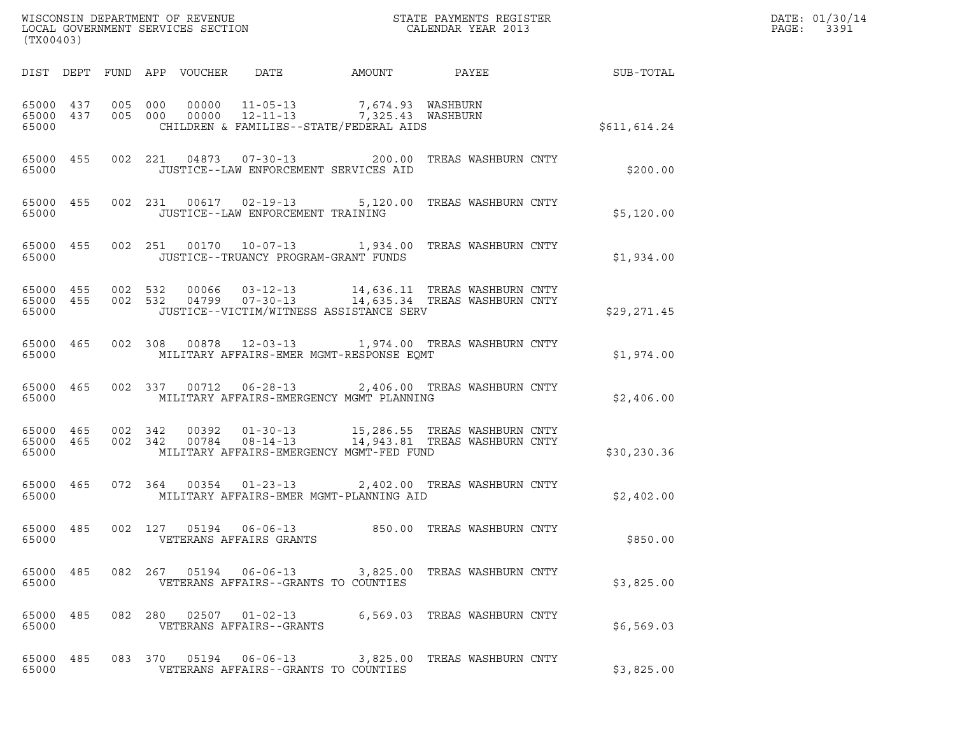| (TX00403)          |  |                                                             |                                                                                                                                                     |                                                                                                                                                                                                 |              | DATE: 01/30/14<br>PAGE: 3391 |
|--------------------|--|-------------------------------------------------------------|-----------------------------------------------------------------------------------------------------------------------------------------------------|-------------------------------------------------------------------------------------------------------------------------------------------------------------------------------------------------|--------------|------------------------------|
|                    |  |                                                             |                                                                                                                                                     |                                                                                                                                                                                                 |              |                              |
| 65000              |  |                                                             | 65000 437 005 000 00000 11-05-13 7,674.93 WASHBURN<br>65000 437 005 000 00000 12-11-13 7,325.43 WASHBURN<br>CHILDREN & FAMILIES--STATE/FEDERAL AIDS |                                                                                                                                                                                                 | \$611,614.24 |                              |
| 65000              |  | JUSTICE--LAW ENFORCEMENT SERVICES AID                       |                                                                                                                                                     | 65000 455 002 221 04873 07-30-13 200.00 TREAS WASHBURN CNTY                                                                                                                                     | \$200.00     |                              |
| 65000              |  | JUSTICE--LAW ENFORCEMENT TRAINING                           |                                                                                                                                                     | 65000 455 002 231 00617 02-19-13 5,120.00 TREAS WASHBURN CNTY                                                                                                                                   | \$5,120.00   |                              |
| 65000              |  |                                                             | JUSTICE--TRUANCY PROGRAM-GRANT FUNDS                                                                                                                | 65000 455 002 251 00170 10-07-13 1,934.00 TREAS WASHBURN CNTY                                                                                                                                   | \$1,934.00   |                              |
| 65000              |  |                                                             | JUSTICE--VICTIM/WITNESS ASSISTANCE SERV                                                                                                             | $\begin{array}{cccc} 65000& 455& 002& 532& 00066& 03-12-13& 14,636.11 & \text{TREAS WASHBURN CNTY}\\ 65000& 455& 002& 532& 04799& 07-30-13& 14,635.34 & \text{TREAS WASHBURN CNTY} \end{array}$ | \$29,271.45  |                              |
| 65000              |  |                                                             | MILITARY AFFAIRS-EMER MGMT-RESPONSE EQMT                                                                                                            | 65000 465 002 308 00878 12-03-13 1,974.00 TREAS WASHBURN CNTY                                                                                                                                   | \$1,974.00   |                              |
|                    |  |                                                             | 65000 MILITARY AFFAIRS-EMERGENCY MGMT PLANNING                                                                                                      | 65000 465 002 337 00712 06-28-13 2,406.00 TREAS WASHBURN CNTY                                                                                                                                   | \$2,406.00   |                              |
| 65000              |  |                                                             | MILITARY AFFAIRS-EMERGENCY MGMT-FED FUND                                                                                                            | $\begin{array}{cccc} 65000& 465& 002& 342& 00392& 01-30-13& 15,286.55 & \text{TREAS WASHBURN CNTY}\\ 65000& 465& 002& 342& 00784& 08-14-13& 14,943.81 & \text{TREAS WASHBURN CNTY} \end{array}$ | \$30, 230.36 |                              |
| 65000              |  |                                                             | MILITARY AFFAIRS-EMER MGMT-PLANNING AID                                                                                                             | 65000 465 072 364 00354 01-23-13 2,402.00 TREAS WASHBURN CNTY                                                                                                                                   | \$2,402.00   |                              |
| 65000              |  | 65000 485 002 127 05194 06-06-13<br>VETERANS AFFAIRS GRANTS |                                                                                                                                                     | 850.00 TREAS WASHBURN CNTY                                                                                                                                                                      | \$850.00     |                              |
| 65000 485<br>65000 |  | VETERANS AFFAIRS--GRANTS TO COUNTIES                        |                                                                                                                                                     | 082  267  05194  06-06-13  3,825.00  TREAS WASHBURN CNTY                                                                                                                                        | \$3,825.00   |                              |
| 65000 485<br>65000 |  | VETERANS AFFAIRS--GRANTS                                    |                                                                                                                                                     | 082 280 02507 01-02-13 6,569.03 TREAS WASHBURN CNTY                                                                                                                                             | \$6,569.03   |                              |
| 65000 485<br>65000 |  | VETERANS AFFAIRS--GRANTS TO COUNTIES                        |                                                                                                                                                     | 083 370 05194 06-06-13 3,825.00 TREAS WASHBURN CNTY                                                                                                                                             | \$3,825.00   |                              |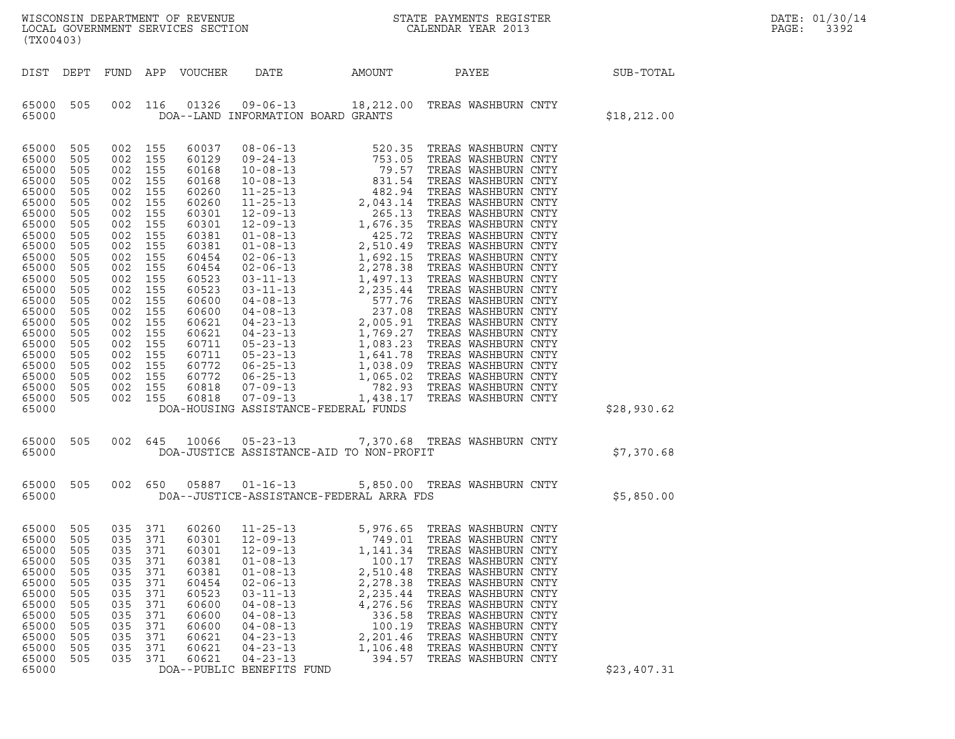| WISCONSIN DEPARTMENT OF REVENUE<br>LOCAL GOVERNMENT SERVICES SECTION<br>(TX00403) | STATE PAYMENTS REGISTER<br>CALENDAR YEAR 2013 | DATE: 01/30/14<br>PAGE:<br>3392 |
|-----------------------------------------------------------------------------------|-----------------------------------------------|---------------------------------|

| (TX00403)                                                                                                                                                                                                                     |                                                                                                                                                                      |                                                                                                                                                                      |                                                                                                                                                                      |                                                                                                                   |                                                                                                                                                                                                                                                                                                                                                                                                                                                                                                     |                                                                                        |       |                                                                                                                                                                                      |              |
|-------------------------------------------------------------------------------------------------------------------------------------------------------------------------------------------------------------------------------|----------------------------------------------------------------------------------------------------------------------------------------------------------------------|----------------------------------------------------------------------------------------------------------------------------------------------------------------------|----------------------------------------------------------------------------------------------------------------------------------------------------------------------|-------------------------------------------------------------------------------------------------------------------|-----------------------------------------------------------------------------------------------------------------------------------------------------------------------------------------------------------------------------------------------------------------------------------------------------------------------------------------------------------------------------------------------------------------------------------------------------------------------------------------------------|----------------------------------------------------------------------------------------|-------|--------------------------------------------------------------------------------------------------------------------------------------------------------------------------------------|--------------|
| DIST                                                                                                                                                                                                                          | DEPT                                                                                                                                                                 | FUND                                                                                                                                                                 |                                                                                                                                                                      | APP VOUCHER                                                                                                       | DATE                                                                                                                                                                                                                                                                                                                                                                                                                                                                                                | AMOUNT                                                                                 | PAYEE |                                                                                                                                                                                      | SUB-TOTAL    |
| 65000<br>65000                                                                                                                                                                                                                | 505                                                                                                                                                                  | 002                                                                                                                                                                  | 116                                                                                                                                                                  | 01326                                                                                                             | 09-06-13 18,212.00 TREAS WASHBURN CNTY<br>DOA--LAND INFORMATION BOARD GRANTS                                                                                                                                                                                                                                                                                                                                                                                                                        |                                                                                        |       |                                                                                                                                                                                      | \$18, 212.00 |
| 65000<br>65000<br>65000<br>65000<br>65000<br>65000<br>65000<br>65000<br>65000<br>65000<br>65000<br>65000<br>65000<br>65000<br>65000<br>65000<br>65000<br>65000<br>65000<br>65000<br>65000<br>65000<br>65000<br>65000<br>65000 | 505<br>505<br>505<br>505<br>505<br>505<br>505<br>505<br>505<br>505<br>505<br>505<br>505<br>505<br>505<br>505<br>505<br>505<br>505<br>505<br>505<br>505<br>505<br>505 | 002<br>002<br>002<br>002<br>002<br>002<br>002<br>002<br>002<br>002<br>002<br>002<br>002<br>002<br>002<br>002<br>002<br>002<br>002<br>002<br>002<br>002<br>002<br>002 | 155<br>155<br>155<br>155<br>155<br>155<br>155<br>155<br>155<br>155<br>155<br>155<br>155<br>155<br>155<br>155<br>155<br>155<br>155<br>155<br>155<br>155<br>155<br>155 |                                                                                                                   | DOA-HOUSING ASSISTANCE-FEDERAL FUNDS                                                                                                                                                                                                                                                                                                                                                                                                                                                                |                                                                                        |       |                                                                                                                                                                                      | \$28,930.62  |
| 65000<br>65000                                                                                                                                                                                                                | 505                                                                                                                                                                  | 002                                                                                                                                                                  | 645                                                                                                                                                                  |                                                                                                                   | 10066 05-23-13<br>DOA-JUSTICE ASSISTANCE-AID TO NON-PROFIT                                                                                                                                                                                                                                                                                                                                                                                                                                          | 7,370.68 TREAS WASHBURN CNTY                                                           |       |                                                                                                                                                                                      | \$7,370.68   |
| 65000<br>65000                                                                                                                                                                                                                | 505                                                                                                                                                                  | 002                                                                                                                                                                  | 650                                                                                                                                                                  |                                                                                                                   | 05887   01-16-13<br>DOA--JUSTICE-ASSISTANCE-FEDERAL ARRA FDS                                                                                                                                                                                                                                                                                                                                                                                                                                        | 5,850.00 TREAS WASHBURN CNTY                                                           |       |                                                                                                                                                                                      | \$5,850.00   |
| 65000<br>65000<br>65000<br>65000<br>65000<br>65000<br>65000<br>65000<br>65000<br>65000<br>65000<br>65000<br>65000<br>65000                                                                                                    | 505<br>505<br>505<br>505<br>505<br>505<br>505<br>505<br>505<br>505<br>505<br>505<br>505                                                                              | 035<br>035<br>035<br>035<br>035<br>035<br>035<br>035<br>035<br>035<br>035<br>035<br>035                                                                              | 371<br>371<br>371<br>371<br>371<br>371<br>371<br>371<br>371<br>371<br>371<br>371<br>371                                                                              | 60260<br>60301<br>60301<br>60381<br>60381<br>60454<br>60523<br>60600<br>60600<br>60600<br>60621<br>60621<br>60621 | $\begin{tabular}{lllllllllllllllllllll} 11-25-13 & 5,976.65 & \text{TREAS WASHBURN CNTY} \\ 12-09-13 & 749.01 & \text{TREAS WASHBURN CNTY} \\ 12-09-13 & 1,141.34 & \text{TREAS WASHBURN CNTY} \\ 01-08-13 & 100.17 & \text{TREAS WASHBURN CNTY} \\ 01-08-13 & 2,510.48 & \text{TREAS WASHBURN CNTY} \\ \end{tabular}$<br>$02 - 06 - 13$<br>$03 - 11 - 13$<br>$04 - 08 - 13$<br>$04 - 08 - 13$<br>$04 - 08 - 13$<br>$04 - 23 - 13$<br>$04 - 23 - 13$<br>$04 - 23 - 13$<br>DOA--PUBLIC BENEFITS FUND | 2,278.38<br>2,235.44<br>4,276.56<br>336.58<br>100.19<br>2,201.46<br>1,106.48<br>394.57 |       | TREAS WASHBURN CNTY<br>TREAS WASHBURN CNTY<br>TREAS WASHBURN CNTY<br>TREAS WASHBURN CNTY<br>TREAS WASHBURN CNTY<br>TREAS WASHBURN CNTY<br>TREAS WASHBURN CNTY<br>TREAS WASHBURN CNTY | \$23,407.31  |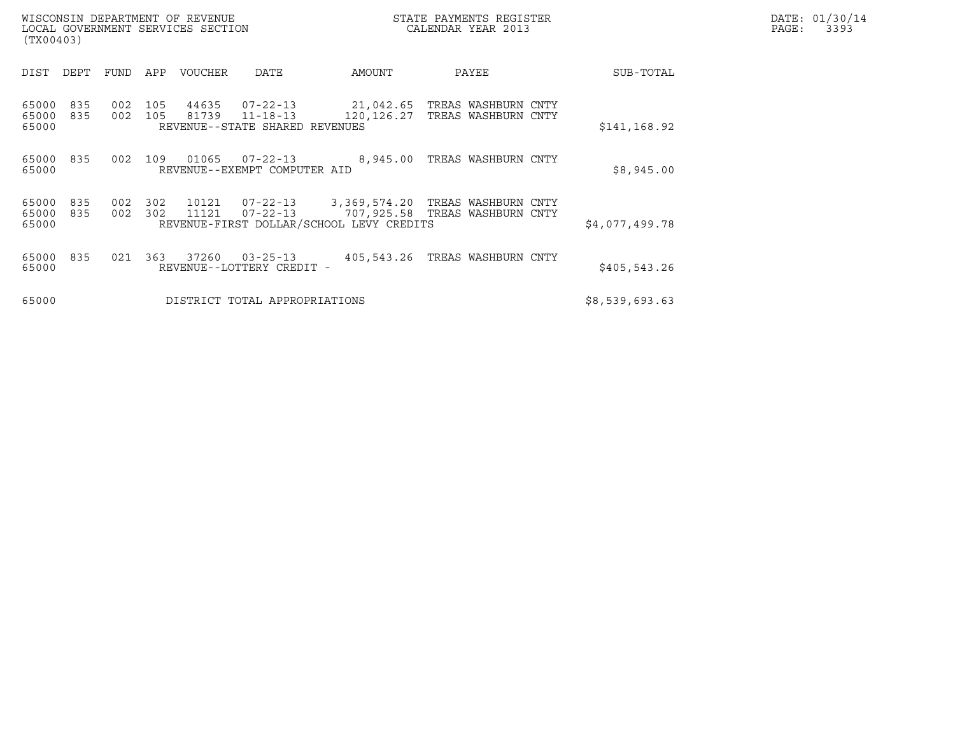| WISCONSIN DEPARTMENT OF REVENUE<br>LOCAL GOVERNMENT SERVICES SECTION<br>(TX00403) |            |            |                |                                                              |                                                                                                                                   | STATE PAYMENTS REGISTER<br>CALENDAR YEAR 2013          |                | DATE: 01/30/14<br>PAGE:<br>3393 |
|-----------------------------------------------------------------------------------|------------|------------|----------------|--------------------------------------------------------------|-----------------------------------------------------------------------------------------------------------------------------------|--------------------------------------------------------|----------------|---------------------------------|
| DEPT<br>DIST                                                                      | FUND       | APP        | VOUCHER        | <b>DATE</b>                                                  | AMOUNT                                                                                                                            | PAYEE                                                  | SUB-TOTAL      |                                 |
| 835<br>65000<br>65000<br>835<br>65000                                             | 002<br>002 | 105<br>105 | 44635<br>81739 | 07-22-13<br>$11 - 18 - 13$<br>REVENUE--STATE SHARED REVENUES | 120,126.27                                                                                                                        | 21,042.65   TREAS WASHBURN CNTY<br>TREAS WASHBURN CNTY | \$141, 168.92  |                                 |
| 65000 835<br>65000                                                                | 002        | 109        | 01065          | $07 - 22 - 13$<br>REVENUE--EXEMPT COMPUTER AID               | 8,945.00                                                                                                                          | TREAS WASHBURN CNTY                                    | \$8,945.00     |                                 |
| 65000<br>835<br>65000<br>835<br>65000                                             | 002<br>002 | 302<br>302 | 11121          | $07 - 22 - 13$                                               | 10121  07-22-13  3,369,574.20 TREAS WASHBURN CNTY<br>707,925.58   TREAS WASHBURN CNTY<br>REVENUE-FIRST DOLLAR/SCHOOL LEVY CREDITS |                                                        | \$4,077,499.78 |                                 |
| 835<br>65000<br>65000                                                             | 021        | 363        | 37260          | $03 - 25 - 13$<br>REVENUE--LOTTERY CREDIT -                  | 405,543.26                                                                                                                        | TREAS WASHBURN CNTY                                    | \$405, 543.26  |                                 |
| 65000                                                                             |            |            |                | DISTRICT TOTAL APPROPRIATIONS                                |                                                                                                                                   |                                                        | \$8,539,693.63 |                                 |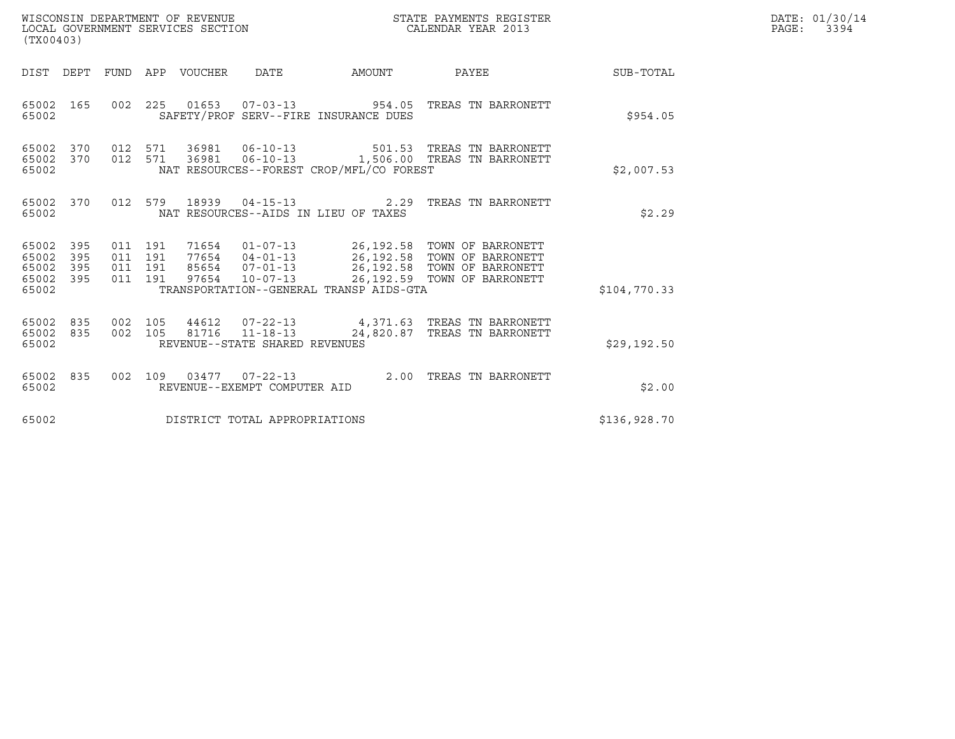| WISCONSIN DEPARTMENT OF REVENUE<br>LOCAL GOVERNMENT SERVICES SECTION<br>(TX00403) |     |                                          |               |                                |                                          | STATE PAYMENTS REGISTER<br>CALENDAR YEAR 2013                                                                                                                         |                 | DATE: 01/30/14<br>PAGE:<br>3394 |
|-----------------------------------------------------------------------------------|-----|------------------------------------------|---------------|--------------------------------|------------------------------------------|-----------------------------------------------------------------------------------------------------------------------------------------------------------------------|-----------------|---------------------------------|
| DIST DEPT FUND APP VOUCHER DATE                                                   |     |                                          |               |                                | <b>AMOUNT</b>                            |                                                                                                                                                                       | PAYEE SUB-TOTAL |                                 |
| 65002 165<br>65002                                                                |     |                                          |               |                                | SAFETY/PROF SERV--FIRE INSURANCE DUES    | 002  225  01653  07-03-13  954.05  TREAS TN BARRONETT                                                                                                                 | \$954.05        |                                 |
| 65002 370<br>65002<br>370<br>65002                                                |     |                                          | 012 571 36981 |                                | NAT RESOURCES--FOREST CROP/MFL/CO FOREST | 012 571 36981 06-10-13 501.53 TREAS TN BARRONETT<br>06-10-13 1,506.00 TREAS TN BARRONETT                                                                              | \$2,007.53      |                                 |
| 65002<br>370<br>65002                                                             |     |                                          |               |                                | NAT RESOURCES--AIDS IN LIEU OF TAXES     | 012 579 18939 04-15-13 2.29 TREAS TN BARRONETT                                                                                                                        | \$2.29          |                                 |
| 65002 395<br>65002<br>395<br>65002<br>395<br>65002 395<br>65002                   |     | 011 191<br>011 191<br>011 191<br>011 191 | 85654         | 97654 10-07-13                 | TRANSPORTATION--GENERAL TRANSP AIDS-GTA  | 71654  01-07-13  26,192.58  TOWN OF BARRONETT<br>77654  04-01-13  26,192.58  TOWN OF BARRONETT<br>07-01-13 26,192.58 TOWN OF BARRONETT<br>26,192.59 TOWN OF BARRONETT | \$104,770.33    |                                 |
| 65002<br>835<br>65002<br>835<br>65002                                             | 002 | 105                                      | 44612         | REVENUE--STATE SHARED REVENUES |                                          | 07-22-13 4,371.63 TREAS TN BARRONETT<br>002  105  81716  11-18-13  24,820.87  TREAS TN BARRONETT                                                                      | \$29,192.50     |                                 |
| 65002<br>835<br>65002                                                             |     |                                          |               | REVENUE--EXEMPT COMPUTER AID   |                                          | 002 109 03477 07-22-13 2.00 TREAS TN BARRONETT                                                                                                                        | \$2.00          |                                 |
| 65002                                                                             |     |                                          |               | DISTRICT TOTAL APPROPRIATIONS  |                                          |                                                                                                                                                                       | \$136,928.70    |                                 |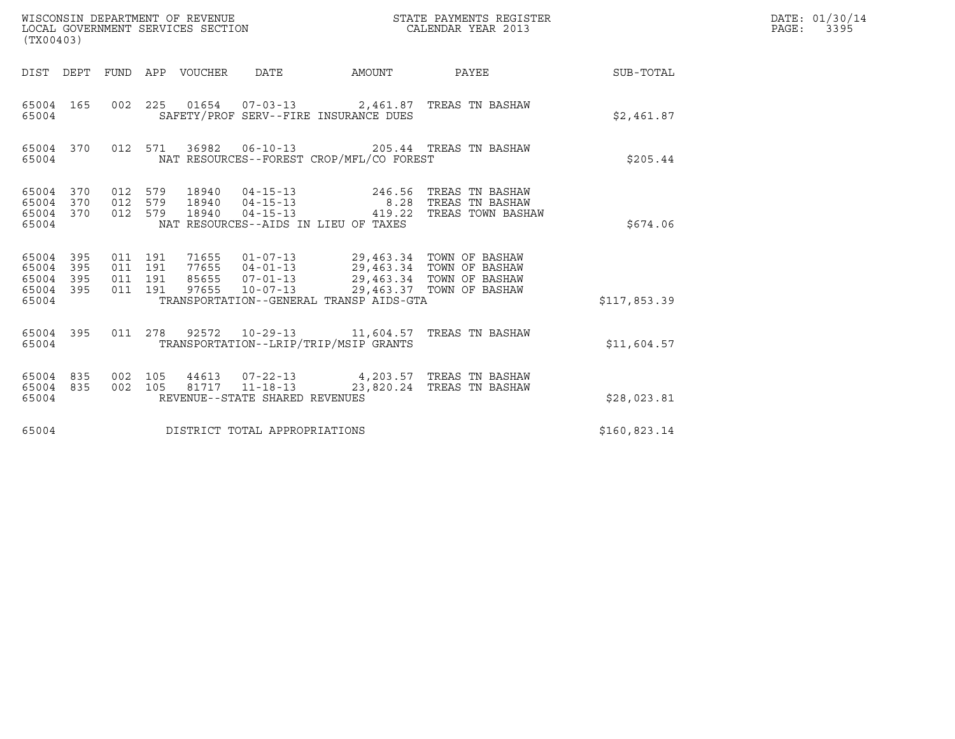| (TX00403)                                     |                   |                                          |         | WISCONSIN DEPARTMENT OF REVENUE<br>LOCAL GOVERNMENT SERVICES SECTION |                                                    |                                                                                       | STATE PAYMENTS REGISTER<br>CALENDAR YEAR 2013                           |              | DATE: 01/30/14<br>3395<br>$\mathtt{PAGE:}$ |
|-----------------------------------------------|-------------------|------------------------------------------|---------|----------------------------------------------------------------------|----------------------------------------------------|---------------------------------------------------------------------------------------|-------------------------------------------------------------------------|--------------|--------------------------------------------|
| DIST DEPT                                     |                   |                                          |         | FUND APP VOUCHER                                                     | DATE                                               | AMOUNT                                                                                | PAYEE                                                                   | SUB-TOTAL    |                                            |
| 65004 165<br>65004                            |                   |                                          |         |                                                                      |                                                    | SAFETY/PROF SERV--FIRE INSURANCE DUES                                                 | 002 225 01654 07-03-13 2,461.87 TREAS TN BASHAW                         | \$2,461.87   |                                            |
| 65004 370<br>65004                            |                   |                                          | 012 571 | 36982                                                                |                                                    | NAT RESOURCES--FOREST CROP/MFL/CO FOREST                                              | 06-10-13 205.44 TREAS TN BASHAW                                         | \$205.44     |                                            |
| 65004 370<br>65004<br>65004<br>65004          | 370<br>370        | 012 579<br>012 579<br>012 579            |         | 18940<br>18940<br>18940                                              | $04 - 15 - 13$<br>$04 - 15 - 13$<br>$04 - 15 - 13$ | 246.56<br>NAT RESOURCES--AIDS IN LIEU OF TAXES                                        | TREAS TN BASHAW<br>8.28 TREAS TN BASHAW<br>419.22 TREAS TOWN BASHAW     | \$674.06     |                                            |
| 65004<br>65004<br>65004<br>65004 395<br>65004 | 395<br>395<br>395 | 011 191<br>011 191<br>011 191<br>011 191 |         |                                                                      |                                                    | 71655  01-07-13  29,463.34  TOWN OF BASHAW<br>TRANSPORTATION--GENERAL TRANSP AIDS-GTA |                                                                         | \$117,853.39 |                                            |
| 65004 395<br>65004                            |                   |                                          |         |                                                                      |                                                    | TRANSPORTATION--LRIP/TRIP/MSIP GRANTS                                                 | 011 278 92572 10-29-13 11,604.57 TREAS TN BASHAW                        | \$11,604.57  |                                            |
| 65004 835<br>65004 835<br>65004               |                   | 002 105<br>002 105                       |         |                                                                      | 81717  11-18-13<br>REVENUE--STATE SHARED REVENUES  |                                                                                       | 44613  07-22-13  4,203.57  TREAS TN BASHAW<br>23,820.24 TREAS TN BASHAW | \$28,023.81  |                                            |
| 65004                                         |                   |                                          |         |                                                                      | DISTRICT TOTAL APPROPRIATIONS                      |                                                                                       |                                                                         | \$160,823.14 |                                            |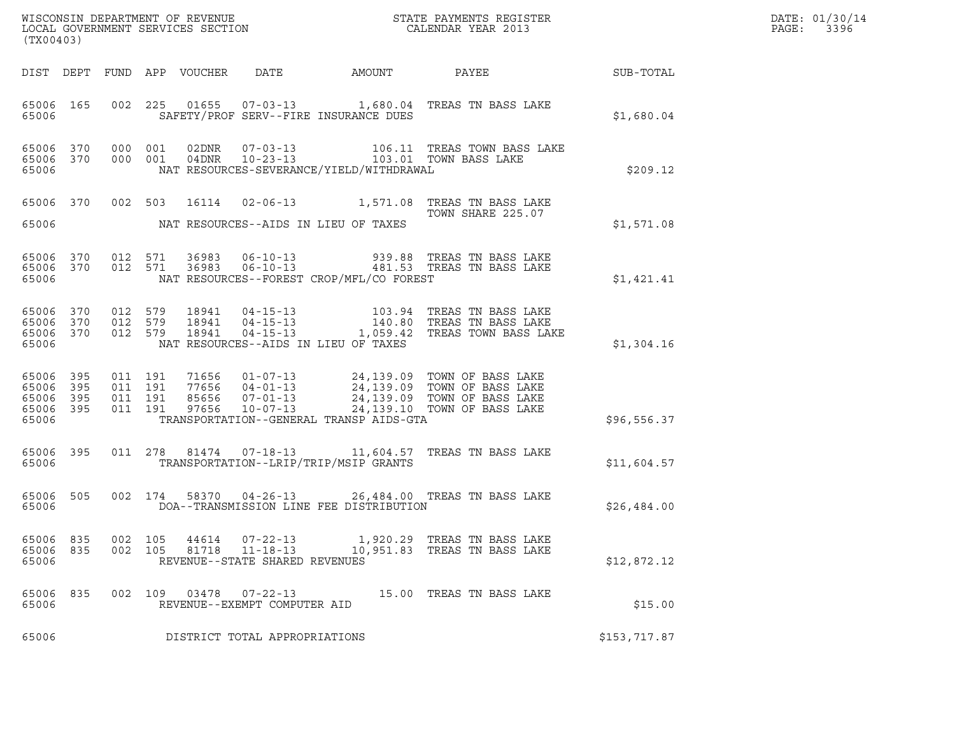| WISCONSIN DEPARTMENT OF REVENUE<br>LOCAL GOVERNMENT SERVICES SECTION<br>(TX00403) | STATE PAYMENTS REGISTER<br>CALENDAR YEAR 2013 | DATE: 01/30/14<br>PAGE:<br>3396 |
|-----------------------------------------------------------------------------------|-----------------------------------------------|---------------------------------|

| WISCONSIN DEPARTMENT OF REVENUE<br>LOCAL GOVERNMENT SERVICES SECTION<br>(TX00403) |                          |                          |                          |                  |                                                        |                                          |                                                                                                                                                                                                              |              |
|-----------------------------------------------------------------------------------|--------------------------|--------------------------|--------------------------|------------------|--------------------------------------------------------|------------------------------------------|--------------------------------------------------------------------------------------------------------------------------------------------------------------------------------------------------------------|--------------|
| DIST                                                                              | DEPT                     |                          |                          | FUND APP VOUCHER |                                                        |                                          | DATE AMOUNT PAYEE                                                                                                                                                                                            | SUB-TOTAL    |
| 65006 165<br>65006                                                                |                          |                          |                          |                  |                                                        | SAFETY/PROF SERV--FIRE INSURANCE DUES    | 002 225 01655 07-03-13 1,680.04 TREAS TN BASS LAKE                                                                                                                                                           | \$1,680.04   |
| 65006 370<br>65006<br>65006                                                       | 370                      | 000<br>000               | 001<br>001               |                  |                                                        | NAT RESOURCES-SEVERANCE/YIELD/WITHDRAWAL | $02DNR$ 07-03-13<br>04DNR  10-23-13<br>103.01 TOWN BASS LAKE                                                                                                                                                 | \$209.12     |
| 65006                                                                             | 370                      |                          | 002 503                  | 16114            |                                                        |                                          | 02-06-13 1,571.08 TREAS TN BASS LAKE<br>TOWN SHARE 225.07                                                                                                                                                    |              |
| 65006                                                                             |                          |                          |                          |                  |                                                        | NAT RESOURCES--AIDS IN LIEU OF TAXES     |                                                                                                                                                                                                              | \$1,571.08   |
| 65006 370<br>65006                                                                |                          | 012<br>65006 370 012 571 | 571                      |                  |                                                        | NAT RESOURCES--FOREST CROP/MFL/CO FOREST |                                                                                                                                                                                                              | \$1,421.41   |
| 65006<br>65006<br>65006<br>65006                                                  | 370<br>370<br>370        | 012<br>012<br>012        | 579<br>579<br>579        |                  |                                                        | NAT RESOURCES--AIDS IN LIEU OF TAXES     | 18941  04-15-13   103.94   TREAS TN BASS LAKE<br>18941  04-15-13   140.80   TREAS TN BASS LAKE<br>18941  04-15-13   1,059.42   TREAS TOWN BASS LAKE                                                          | \$1,304.16   |
| 65006<br>65006<br>65006<br>65006<br>65006                                         | 395<br>395<br>395<br>395 | 011<br>011<br>011<br>011 | 191<br>191<br>191<br>191 |                  |                                                        | TRANSPORTATION--GENERAL TRANSP AIDS-GTA  | 71656   01-07-13   24,139.09   TOWN OF BASS LAKE<br>77656   04-01-13   24,139.09   TOWN OF BASS LAKE<br>85656   07-01-13   24,139.09   TOWN OF BASS LAKE<br>97656   10-07-13   24,139.10   TOWN OF BASS LAKE | \$96,556.37  |
| 65006<br>65006                                                                    | 395                      |                          |                          |                  |                                                        | TRANSPORTATION--LRIP/TRIP/MSIP GRANTS    | 011  278  81474  07-18-13   11,604.57  TREAS TN BASS LAKE                                                                                                                                                    | \$11,604.57  |
| 65006<br>65006                                                                    | 505                      |                          |                          |                  |                                                        | DOA--TRANSMISSION LINE FEE DISTRIBUTION  | 002 174 58370 04-26-13 26,484.00 TREAS TN BASS LAKE                                                                                                                                                          | \$26,484.00  |
| 65006                                                                             |                          |                          |                          |                  | REVENUE--STATE SHARED REVENUES                         |                                          | 65006 835 002 105 44614 07-22-13 1,920.29 TREAS TN BASS LAKE<br>65006 835 002 105 81718 11-18-13 10,951.83 TREAS TN BASS LAKE                                                                                | \$12,872.12  |
| 65006 835<br>65006                                                                |                          |                          |                          |                  | 002 109 03478 07-22-13<br>REVENUE--EXEMPT COMPUTER AID |                                          | 15.00 TREAS TN BASS LAKE                                                                                                                                                                                     | \$15.00      |
| 65006                                                                             |                          |                          |                          |                  | DISTRICT TOTAL APPROPRIATIONS                          |                                          |                                                                                                                                                                                                              | \$153,717.87 |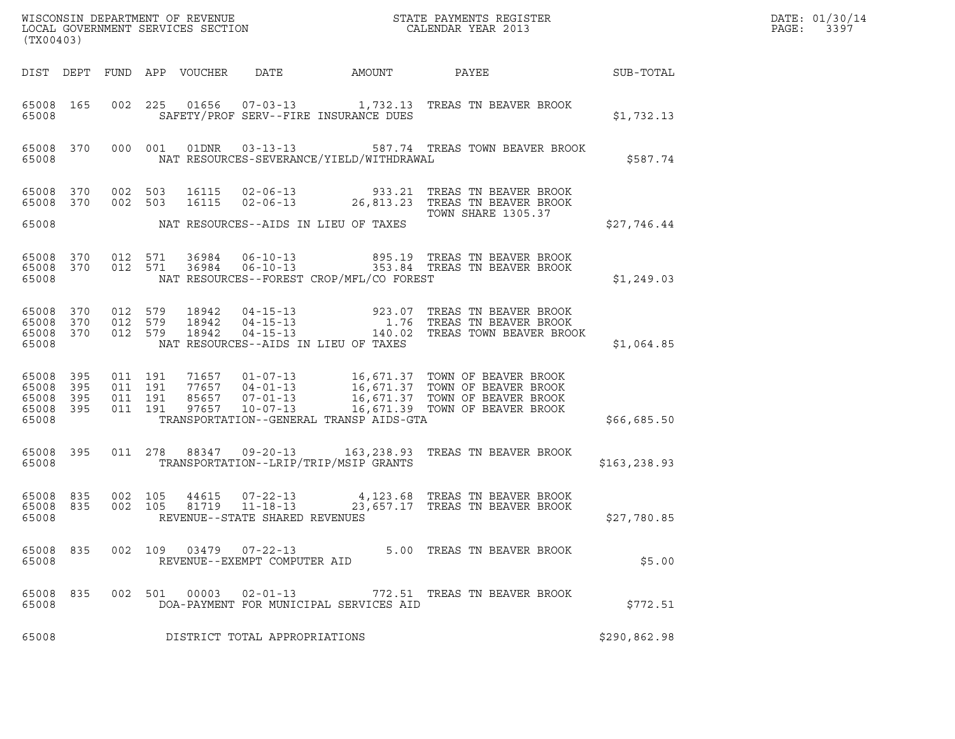| (TX00403)                                                 |           |                                        |         |                                 |                                                  |                                          |                                                                                                                                                                                                               |               | DATE: 01/30/14<br>$\mathtt{PAGE:}$<br>3397 |
|-----------------------------------------------------------|-----------|----------------------------------------|---------|---------------------------------|--------------------------------------------------|------------------------------------------|---------------------------------------------------------------------------------------------------------------------------------------------------------------------------------------------------------------|---------------|--------------------------------------------|
|                                                           |           |                                        |         | DIST DEPT FUND APP VOUCHER DATE |                                                  | AMOUNT                                   | PAYEE<br><b>SUB-TOTAL</b>                                                                                                                                                                                     |               |                                            |
| 65008                                                     |           |                                        |         |                                 |                                                  | SAFETY/PROF SERV--FIRE INSURANCE DUES    | 65008 165 002 225 01656 07-03-13 1,732.13 TREAS TN BEAVER BROOK                                                                                                                                               | \$1,732.13    |                                            |
| 65008                                                     |           |                                        |         |                                 |                                                  | NAT RESOURCES-SEVERANCE/YIELD/WITHDRAWAL | 65008 370 000 001 01DNR 03-13-13 587.74 TREAS TOWN BEAVER BROOK                                                                                                                                               | \$587.74      |                                            |
|                                                           | 65008 370 | 65008 370 002 503                      | 002 503 |                                 |                                                  |                                          | 16115  02-06-13  933.21 TREAS TN BEAVER BROOK<br>16115  02-06-13  26,813.23 TREAS TN BEAVER BROOK<br>TOWN SHARE 1305.37                                                                                       |               |                                            |
| 65008                                                     |           |                                        |         |                                 |                                                  | NAT RESOURCES--AIDS IN LIEU OF TAXES     |                                                                                                                                                                                                               | \$27,746.44   |                                            |
| 65008                                                     |           | 65008 370 012 571<br>65008 370 012 571 |         |                                 |                                                  | NAT RESOURCES--FOREST CROP/MFL/CO FOREST | 36984      06-10-13                          895.19    TREAS TN BEAVER BROOK<br>36984      06-10-13                       353.84    TREAS TN BEAVER BROOK<br>353.84 TREAS TN BEAVER BROOK                     | \$1,249.03    |                                            |
| 65008 370<br>65008                                        |           | 65008 370 012 579<br>65008 370 012 579 |         |                                 |                                                  | NAT RESOURCES--AIDS IN LIEU OF TAXES     | 012 579 18942 04-15-13 923.07 TREAS TN BEAVER BROOK<br>012 579 18942 04-15-13 1.76 TREAS TN BEAVER BROOK<br>012 579 18942 04-15-13 140.02 TREAS TOWN BEAVER BROOK                                             | \$1,064.85    |                                            |
| 65008 395<br>65008 395<br>65008 395<br>65008 395<br>65008 |           | 011 191<br>011 191<br>011 191          | 011 191 |                                 |                                                  | TRANSPORTATION--GENERAL TRANSP AIDS-GTA  | 71657  01-07-13  16,671.37  TOWN OF BEAVER BROOK<br>77657  04-01-13  16,671.37  TOWN OF BEAVER BROOK<br>85657  07-01-13  16,671.37  TOWN OF BEAVER BROOK<br>97657  10-07-13   16,671.39  TOWN OF BEAVER BROOK | \$66,685.50   |                                            |
| 65008                                                     |           |                                        |         |                                 |                                                  | TRANSPORTATION--LRIP/TRIP/MSIP GRANTS    | 65008 395 011 278 88347 09-20-13 163,238.93 TREAS TN BEAVER BROOK                                                                                                                                             | \$163, 238.93 |                                            |
| 65008 835<br>65008                                        |           | 65008 835 002 105                      |         |                                 | REVENUE--STATE SHARED REVENUES                   |                                          | 002   105   44615   07-22-13   4,123.68 TREAS TN BEAVER BROOK   002   105   81719   11-18-13   23,657.17 TREAS TN BEAVER BROOK                                                                                | \$27,780.85   |                                            |
| 65008 835<br>65008                                        |           | 002 109                                |         |                                 | 03479   07-22-13<br>REVENUE--EXEMPT COMPUTER AID |                                          | 5.00 TREAS TN BEAVER BROOK                                                                                                                                                                                    | \$5.00        |                                            |
| 65008 835<br>65008                                        |           |                                        | 002 501 | 00003                           | $02 - 01 - 13$                                   | DOA-PAYMENT FOR MUNICIPAL SERVICES AID   | 772.51 TREAS TN BEAVER BROOK                                                                                                                                                                                  | \$772.51      |                                            |
| 65008                                                     |           |                                        |         |                                 | DISTRICT TOTAL APPROPRIATIONS                    |                                          |                                                                                                                                                                                                               | \$290,862.98  |                                            |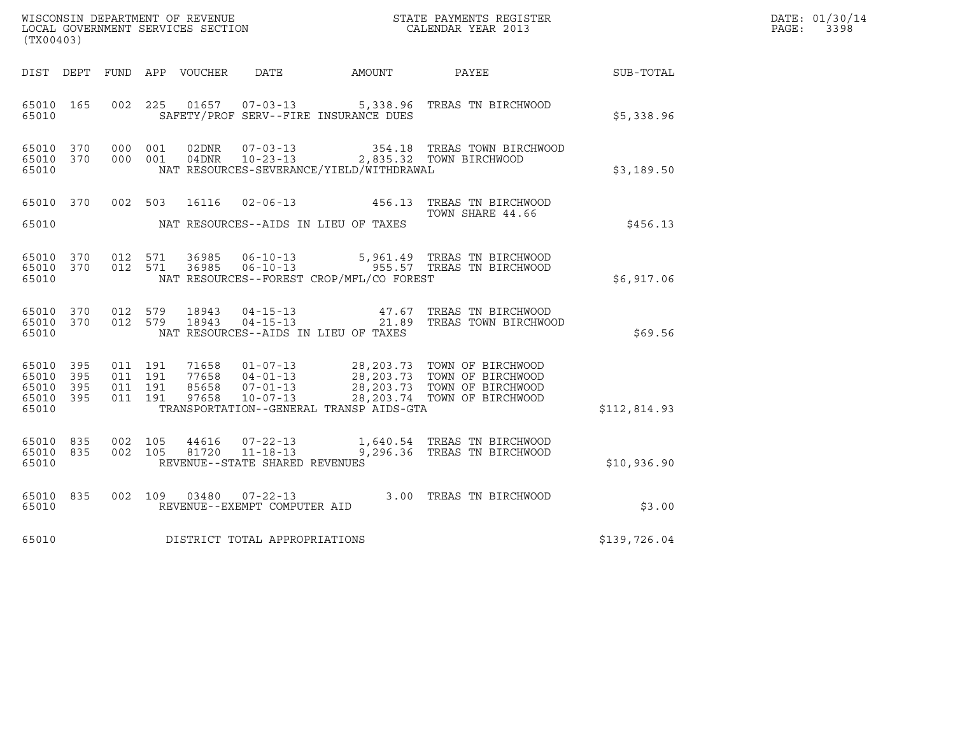| WISCONSIN DEPARTMENT OF REVENUE   | STATE PAYMENTS REGISTER | DATE: 01/30/14 |
|-----------------------------------|-------------------------|----------------|
| LOCAL GOVERNMENT SERVICES SECTION | CALENDAR YEAR 2013      | 3398<br>PAGE:  |

| WISCONSIN DEPARTMENT OF REVENUE<br>LOCAL GOVERNMENT SERVICES SECTION<br>CALENDAR YEAR 2013<br>(TX00403) |           |  |  |               |                                |                                            |                                                                                                                                                                                                                      | $\mathbb{E} \mathbf{R}$ | DATE: 01/30/14<br>PAGE: 3398 |
|---------------------------------------------------------------------------------------------------------|-----------|--|--|---------------|--------------------------------|--------------------------------------------|----------------------------------------------------------------------------------------------------------------------------------------------------------------------------------------------------------------------|-------------------------|------------------------------|
| DIST DEPT                                                                                               |           |  |  |               |                                |                                            | FUND APP VOUCHER DATE AMOUNT PAYEE                                                                                                                                                                                   | SUB-TOTAL               |                              |
| 65010                                                                                                   | 65010 165 |  |  |               |                                | SAFETY/PROF SERV--FIRE INSURANCE DUES      | 002 225 01657 07-03-13 5,338.96 TREAS TN BIRCHWOOD                                                                                                                                                                   | \$5,338.96              |                              |
| 65010 370<br>65010 370<br>65010                                                                         |           |  |  |               |                                | NAT RESOURCES-SEVERANCE/YIELD/WITHDRAWAL   | 000 001 02DNR  07-03-13   354.18 TREAS TOWN BIRCHWOOD<br>000 001 04DNR  10-23-13   2,835.32 TOWN BIRCHWOOD                                                                                                           | \$3,189.50              |                              |
|                                                                                                         |           |  |  |               |                                | 65010 MAT RESOURCES--AIDS IN LIEU OF TAXES | 65010 370 002 503 16116 02-06-13 456.13 TREAS TN BIRCHWOOD<br>TOWN SHARE 44.66                                                                                                                                       | \$456.13                |                              |
| 65010 370<br>65010                                                                                      | 65010 370 |  |  |               |                                | NAT RESOURCES--FOREST CROP/MFL/CO FOREST   | 012 571 36985 06-10-13 5,961.49 TREAS TN BIRCHWOOD<br>012 571 36985 06-10-13 555.57 TREAS TN BIRCHWOOD                                                                                                               | \$6,917.06              |                              |
| 65010 370<br>65010                                                                                      | 65010 370 |  |  | 012 579 18943 |                                | NAT RESOURCES--AIDS IN LIEU OF TAXES       | 012 579 18943 04-15-13 47.67 TREAS TN BIRCHWOOD<br>012 579 18943 04-15-13 21.89 TREAS TOWN BIRCHWOOD                                                                                                                 | \$69.56                 |                              |
| 65010 395<br>65010 395<br>65010 395<br>65010 395<br>65010                                               |           |  |  |               |                                | TRANSPORTATION--GENERAL TRANSP AIDS-GTA    | 011 191 71658 01-07-13 28,203.73 TOWN OF BIRCHWOOD<br>011 191 77658 04-01-13 28,203.73 TOWN OF BIRCHWOOD<br>011 191 85658 07-01-13 28,203.73 TOWN OF BIRCHWOOD<br>011 191 97658 10-07-13 28,203.74 TOWN OF BIRCHWOOD | \$112,814.93            |                              |
| 65010 835<br>65010 835<br>65010                                                                         |           |  |  |               | REVENUE--STATE SHARED REVENUES |                                            | 002 105 44616 07-22-13 1,640.54 TREAS TN BIRCHWOOD<br>002 105 81720 11-18-13 9,296.36 TREAS TN BIRCHWOOD                                                                                                             | \$10,936.90             |                              |
| 65010 835<br>65010                                                                                      |           |  |  |               | REVENUE--EXEMPT COMPUTER AID   |                                            | 002 109 03480 07-22-13 3.00 TREAS TN BIRCHWOOD                                                                                                                                                                       | \$3.00                  |                              |
| 65010                                                                                                   |           |  |  |               | DISTRICT TOTAL APPROPRIATIONS  |                                            |                                                                                                                                                                                                                      | \$139,726.04            |                              |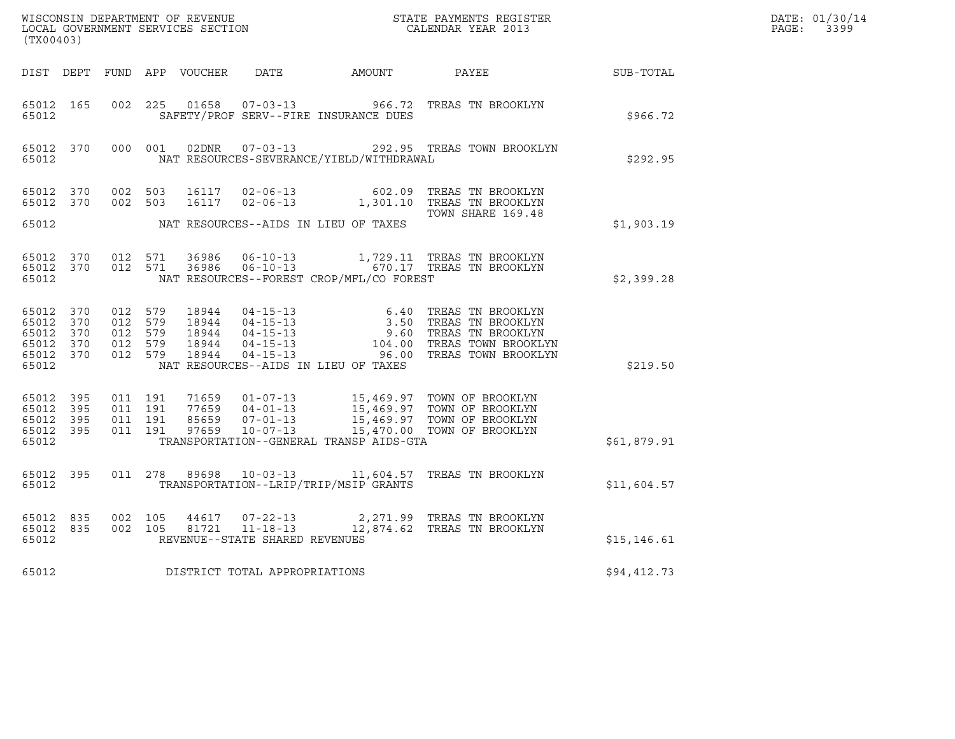| DATE: | 01/30/14 |
|-------|----------|
| PAGE: | 3399     |

| ${\tt WISCONSIM\ DEPARTMENT\ OF\ REVENUE}\qquad \qquad {\tt STATE\ PAYMENTS\ REGISTER} \\ {\tt LOCAL\ GOVERNMENT\ SERVICES\ SECTION}\qquad \qquad {\tt CALENDAR\ YEAR\ 2013}$<br>(TX00403) |           |                                          |  |  |                                |                                          |                                                                                                                                                                                                                                                                                                                 |              | DATE: 01/30/14<br>PAGE: 3399 |
|--------------------------------------------------------------------------------------------------------------------------------------------------------------------------------------------|-----------|------------------------------------------|--|--|--------------------------------|------------------------------------------|-----------------------------------------------------------------------------------------------------------------------------------------------------------------------------------------------------------------------------------------------------------------------------------------------------------------|--------------|------------------------------|
|                                                                                                                                                                                            |           |                                          |  |  |                                |                                          | DIST DEPT FUND APP VOUCHER DATE AMOUNT PAYEE SUB-TOTAL                                                                                                                                                                                                                                                          |              |                              |
| 65012                                                                                                                                                                                      | 65012 165 | 002 225                                  |  |  |                                | SAFETY/PROF SERV--FIRE INSURANCE DUES    | 01658  07-03-13  966.72  TREAS TN BROOKLYN                                                                                                                                                                                                                                                                      | \$966.72     |                              |
| 65012                                                                                                                                                                                      |           |                                          |  |  |                                | NAT RESOURCES-SEVERANCE/YIELD/WITHDRAWAL | 65012 370 000 001 02DNR 07-03-13 292.95 TREAS TOWN BROOKLYN                                                                                                                                                                                                                                                     | \$292.95     |                              |
|                                                                                                                                                                                            |           |                                          |  |  |                                |                                          | 65012 370 002 503 16117 02-06-13 602.09 TREAS TN BROOKLYN<br>65012 370 002 503 16117 02-06-13 1,301.10 TREAS TN BROOKLYN<br>TOWN SHARE 169.48                                                                                                                                                                   |              |                              |
| 65012                                                                                                                                                                                      |           |                                          |  |  |                                | NAT RESOURCES--AIDS IN LIEU OF TAXES     |                                                                                                                                                                                                                                                                                                                 | \$1,903.19   |                              |
| 65012                                                                                                                                                                                      |           |                                          |  |  |                                | NAT RESOURCES--FOREST CROP/MFL/CO FOREST | $\begin{array}{cccccc} 65012 & 370 & 012 & 571 & 36986 & 06-10-13 & & 1,729.11 & \text{TREAS TN BROOKLYN} \\ 65012 & 370 & 012 & 571 & 36986 & 06-10-13 & & 670.17 & \text{TREAS TN BROOKLYN} \end{array}$                                                                                                      | \$2,399.28   |                              |
| 65012                                                                                                                                                                                      |           |                                          |  |  |                                | NAT RESOURCES--AIDS IN LIEU OF TAXES     | $\begin{array}{cccccc} 65012 & 370 & 012 & 579 & 18944 & 04-15-13 & 6.40 & \text{TREAS TN BROOKLYN} \\ 65012 & 370 & 012 & 579 & 18944 & 04-15-13 & 3.50 & \text{TREAS TN BROOKLYN} \\ 65012 & 370 & 012 & 579 & 18944 & 04-15-13 & 9.60 & \text{TREAS TN BROOKLYN} \\ 65012 & 370 & 012 & 579 & 18944 & 04-15$ | \$219.50     |                              |
| 65012 395<br>65012 395<br>65012 395<br>65012                                                                                                                                               | 65012 395 | 011 191<br>011 191<br>011 191<br>011 191 |  |  |                                | TRANSPORTATION--GENERAL TRANSP AIDS-GTA  | 71659  01-07-13  15,469.97  TOWN OF BROOKLYN<br>77659  04-01-13  15,469.97  TOWN OF BROOKLYN<br>85659  07-01-13  15,469.97  TOWN OF BROOKLYN<br>97659  10-07-13  15,470.00  TOWN OF BROOKLYN                                                                                                                    | \$61,879.91  |                              |
| 65012                                                                                                                                                                                      |           |                                          |  |  |                                | TRANSPORTATION--LRIP/TRIP/MSIP GRANTS    | 65012 395 011 278 89698 10-03-13 11,604.57 TREAS TN BROOKLYN                                                                                                                                                                                                                                                    | \$11,604.57  |                              |
| 65012                                                                                                                                                                                      | 65012 835 | 65012 835 002 105                        |  |  | REVENUE--STATE SHARED REVENUES |                                          | $\begin{array}{cccc} 002 & 105 & 44617 & 07\text{-}22\text{-}13 & 2,271.99 & \text{TREAS TN BROOKLYN} \\ 002 & 105 & 81721 & 11\text{-}18\text{-}13 & 12,874.62 & \text{TREAS TN BROOKLYN} \end{array}$                                                                                                         | \$15, 146.61 |                              |
| 65012                                                                                                                                                                                      |           |                                          |  |  | DISTRICT TOTAL APPROPRIATIONS  |                                          |                                                                                                                                                                                                                                                                                                                 | \$94,412.73  |                              |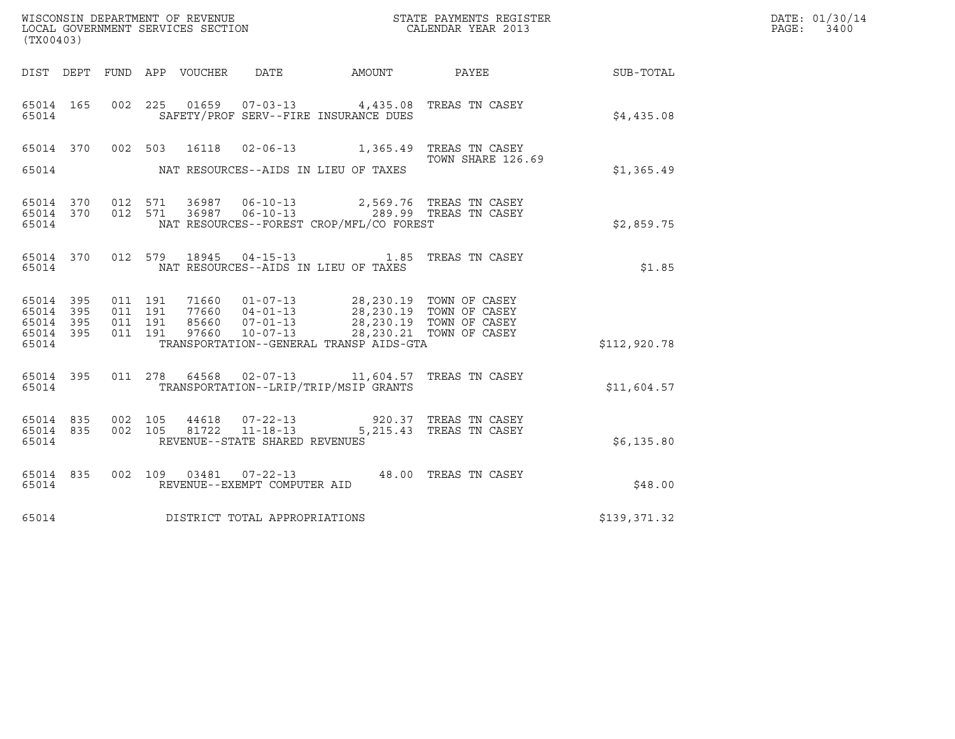| (TX00403)                                             |     |         |                               |                                 |                                                  |                                                                                         |                                                       |              | DATE: 01/30/14<br>PAGE:<br>3400 |
|-------------------------------------------------------|-----|---------|-------------------------------|---------------------------------|--------------------------------------------------|-----------------------------------------------------------------------------------------|-------------------------------------------------------|--------------|---------------------------------|
|                                                       |     |         |                               | DIST DEPT FUND APP VOUCHER DATE |                                                  | AMOUNT PAYEE                                                                            |                                                       | SUB-TOTAL    |                                 |
| 65014 165<br>65014                                    |     |         |                               |                                 |                                                  | 002 225 01659 07-03-13 4,435.08 TREAS TN CASEY<br>SAFETY/PROF SERV--FIRE INSURANCE DUES |                                                       | \$4.435.08   |                                 |
| 65014 370<br>65014                                    |     |         | 002 503                       | 16118                           |                                                  | NAT RESOURCES--AIDS IN LIEU OF TAXES                                                    | 02-06-13 1,365.49 TREAS TN CASEY<br>TOWN SHARE 126.69 | \$1,365.49   |                                 |
| 65014 370 012 571<br>65014 370<br>65014               |     |         | 012 571                       |                                 | 36987 06-10-13                                   | NAT RESOURCES--FOREST CROP/MFL/CO FOREST                                                | 2,569.76 TREAS TN CASEY                               | \$2,859.75   |                                 |
| 65014 370<br>65014                                    |     |         |                               | 012 579 18945                   |                                                  | 04-15-13 1.85 TREAS TN CASEY<br>NAT RESOURCES--AIDS IN LIEU OF TAXES                    |                                                       | \$1.85       |                                 |
| 65014 395<br>65014 395<br>65014<br>65014 395<br>65014 | 395 | 011 191 | 011 191<br>011 191<br>011 191 |                                 |                                                  | TRANSPORTATION--GENERAL TRANSP AIDS-GTA                                                 |                                                       | \$112,920.78 |                                 |
| 65014 395<br>65014                                    |     |         | 011 278                       | 64568                           |                                                  | 02-07-13 11,604.57 TREAS TN CASEY<br>TRANSPORTATION--LRIP/TRIP/MSIP GRANTS              |                                                       | \$11,604.57  |                                 |
| 65014 835<br>65014 835<br>65014                       |     |         | 002 105<br>002 105            | 44618<br>81722                  | $11 - 18 - 13$<br>REVENUE--STATE SHARED REVENUES | 07-22-13 920.37 TREAS TN CASEY                                                          | 5,215.43 TREAS TN CASEY                               | \$6,135.80   |                                 |
| 65014 835<br>65014                                    |     |         |                               |                                 | REVENUE--EXEMPT COMPUTER AID                     | 002 109 03481 07-22-13 48.00 TREAS TN CASEY                                             |                                                       | \$48.00      |                                 |
| 65014                                                 |     |         |                               |                                 | DISTRICT TOTAL APPROPRIATIONS                    |                                                                                         |                                                       | \$139,371.32 |                                 |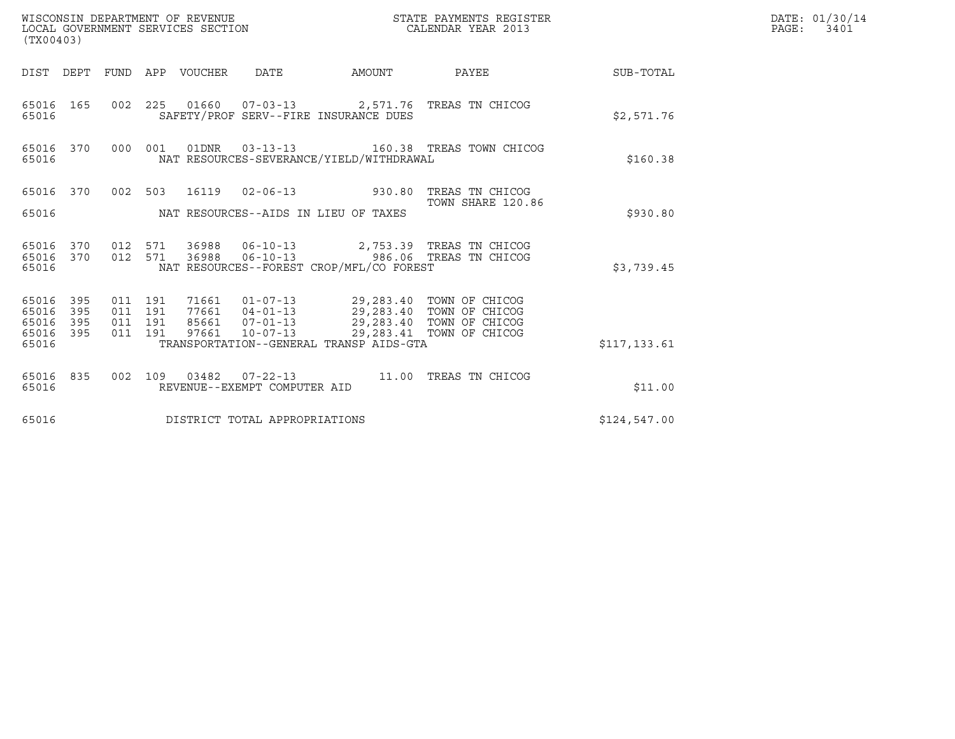| WISCONSIN DEPARTMENT OF REVENUE<br>LOCAL GOVERNMENT SERVICES SECTION<br>(TX00403) |                   |                                          |  |                                 |                               |                                                                                                                                                                                                                                 | STATE PAYMENTS REGISTER<br>CALENDAR YEAR 2013                                          |              | DATE: 01/30/14<br>PAGE:<br>3401 |
|-----------------------------------------------------------------------------------|-------------------|------------------------------------------|--|---------------------------------|-------------------------------|---------------------------------------------------------------------------------------------------------------------------------------------------------------------------------------------------------------------------------|----------------------------------------------------------------------------------------|--------------|---------------------------------|
|                                                                                   |                   |                                          |  | DIST DEPT FUND APP VOUCHER DATE |                               |                                                                                                                                                                                                                                 |                                                                                        |              |                                 |
| 65016 165<br>65016                                                                |                   |                                          |  |                                 |                               | SAFETY/PROF SERV--FIRE INSURANCE DUES                                                                                                                                                                                           | 002 225 01660 07-03-13 2,571.76 TREAS TN CHICOG                                        | \$2,571.76   |                                 |
| 65016 370<br>65016                                                                |                   |                                          |  |                                 |                               | NAT RESOURCES-SEVERANCE/YIELD/WITHDRAWAL                                                                                                                                                                                        | 000 001 01DNR  03-13-13  160.38 TREAS TOWN CHICOG                                      | \$160.38     |                                 |
|                                                                                   |                   |                                          |  |                                 |                               |                                                                                                                                                                                                                                 | 65016 370 002 503 16119 02-06-13 930.80 TREAS TN CHICOG<br>TOWN SHARE 120.86           |              |                                 |
| 65016                                                                             |                   |                                          |  |                                 |                               | NAT RESOURCES--AIDS IN LIEU OF TAXES                                                                                                                                                                                            |                                                                                        | \$930.80     |                                 |
| 65016 370 012 571<br>65016 370<br>65016                                           |                   | 012 571                                  |  |                                 |                               | NAT RESOURCES--FOREST CROP/MFL/CO FOREST                                                                                                                                                                                        | 36988  06-10-13  2,753.39  TREAS TN CHICOG<br>36988  06-10-13  986.06  TREAS TN CHICOG | \$3,739.45   |                                 |
| 65016<br>65016<br>65016<br>65016 395<br>65016                                     | 395<br>395<br>395 | 011 191<br>011 191<br>011 191<br>011 191 |  |                                 |                               | 71661  01-07-13  29,283.40  TOWN OF CHICOG<br>77661  04-01-13  29,283.40  TOWN OF CHICOG<br>85661  07-01-13  29,283.40  TOWN OF CHICOG<br>97661  10-07-13  29,283.41  TOWN OF CHICOG<br>TRANSPORTATION--GENERAL TRANSP AIDS-GTA |                                                                                        | \$117,133.61 |                                 |
| 65016 835<br>65016                                                                |                   | 002 109                                  |  |                                 | REVENUE--EXEMPT COMPUTER AID  |                                                                                                                                                                                                                                 |                                                                                        | \$11.00      |                                 |
| 65016                                                                             |                   |                                          |  |                                 | DISTRICT TOTAL APPROPRIATIONS |                                                                                                                                                                                                                                 |                                                                                        | \$124,547.00 |                                 |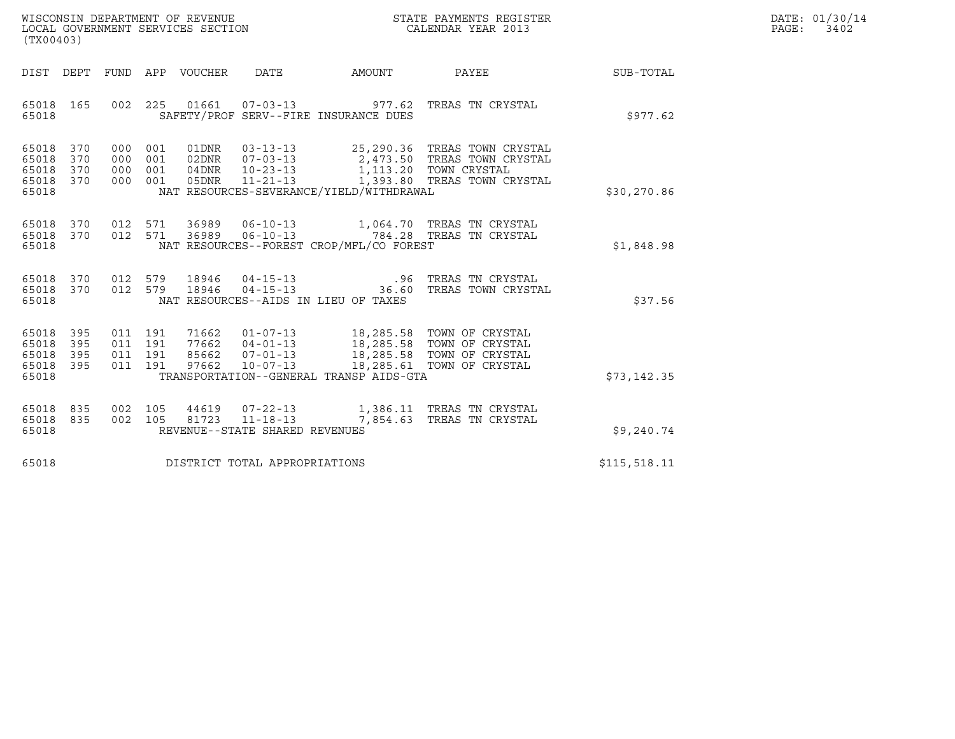| WISCONSIN DEPARTMENT OF REVENUE   | STATE PAYMENTS REGISTER | DATE: 01/30/14 |
|-----------------------------------|-------------------------|----------------|
| LOCAL GOVERNMENT SERVICES SECTION | CALENDAR YEAR 2013      | PAGE:<br>3402  |

| (TX00403)                                                       |         |               |                                          | WISCONSIN DEPARTMENT OF REVENUE<br>LOCAL GOVERNMENT SERVICES SECTION<br>CALENDAR YEAR 2013 |                                                                                                                                                                                                              |              | DATE: 01/30/14<br>$\mathtt{PAGE:}$<br>3402 |
|-----------------------------------------------------------------|---------|---------------|------------------------------------------|--------------------------------------------------------------------------------------------|--------------------------------------------------------------------------------------------------------------------------------------------------------------------------------------------------------------|--------------|--------------------------------------------|
|                                                                 |         |               |                                          |                                                                                            | DIST DEPT FUND APP VOUCHER DATE AMOUNT PAYEE                                                                                                                                                                 | SUB-TOTAL    |                                            |
| 65018 165<br>65018                                              |         |               | SAFETY/PROF SERV--FIRE INSURANCE DUES    |                                                                                            | 002 225 01661 07-03-13 977.62 TREAS TN CRYSTAL                                                                                                                                                               | \$977.62     |                                            |
| 65018 370<br>65018<br>370<br>65018<br>370<br>65018 370<br>65018 | 000 001 |               | NAT RESOURCES-SEVERANCE/YIELD/WITHDRAWAL |                                                                                            | 000 001 01DNR 03-13-13 25,290.36 TREAS TOWN CRYSTAL<br>02DNR $07-03-13$ 2,473.50 TREAS TOWN CRYSTAL<br>000 001 04DNR 10-23-13 1,113.20 TOWN CRYSTAL<br>000 001 05DNR 11-21-13 1,393.80 TREAS TOWN CRYSTAL    | \$30,270.86  |                                            |
| 65018 370<br>65018 370<br>65018                                 |         |               | NAT RESOURCES--FOREST CROP/MFL/CO FOREST |                                                                                            | 012 571 36989 06-10-13 1,064.70 TREAS TN CRYSTAL<br>012 571 36989 06-10-13 784.28 TREAS TN CRYSTAL                                                                                                           | \$1,848.98   |                                            |
| 65018 370<br>65018 370<br>65018                                 |         | 012 579 18946 | NAT RESOURCES--AIDS IN LIEU OF TAXES     |                                                                                            | 012 579 18946 04-15-13 .96 TREAS TN CRYSTAL<br>012 579 18946 04-15-13 .36.60 TREAS TOWN CRYSTAL                                                                                                              | \$37.56      |                                            |
| 65018 395<br>65018<br>395<br>65018<br>395<br>65018 395<br>65018 |         |               | TRANSPORTATION--GENERAL TRANSP AIDS-GTA  |                                                                                            | 011 191 71662 01-07-13 18,285.58 TOWN OF CRYSTAL<br>011 191 77662 04-01-13 18,285.58 TOWN OF CRYSTAL<br>011 191 97662 10-07-13 18,285.58 TOWN OF CRYSTAL<br>011 191 97662 10-07-13 18,285.61 TOWN OF CRYSTAL | \$73,142.35  |                                            |
| 65018 835<br>65018 835<br>65018                                 |         |               | REVENUE--STATE SHARED REVENUES           |                                                                                            | 002 105 44619 07-22-13 1,386.11 TREAS TN CRYSTAL 002 105 81723 11-18-13 7,854.63 TREAS TN CRYSTAL                                                                                                            | \$9,240.74   |                                            |
| 65018                                                           |         |               | DISTRICT TOTAL APPROPRIATIONS            |                                                                                            |                                                                                                                                                                                                              | \$115,518.11 |                                            |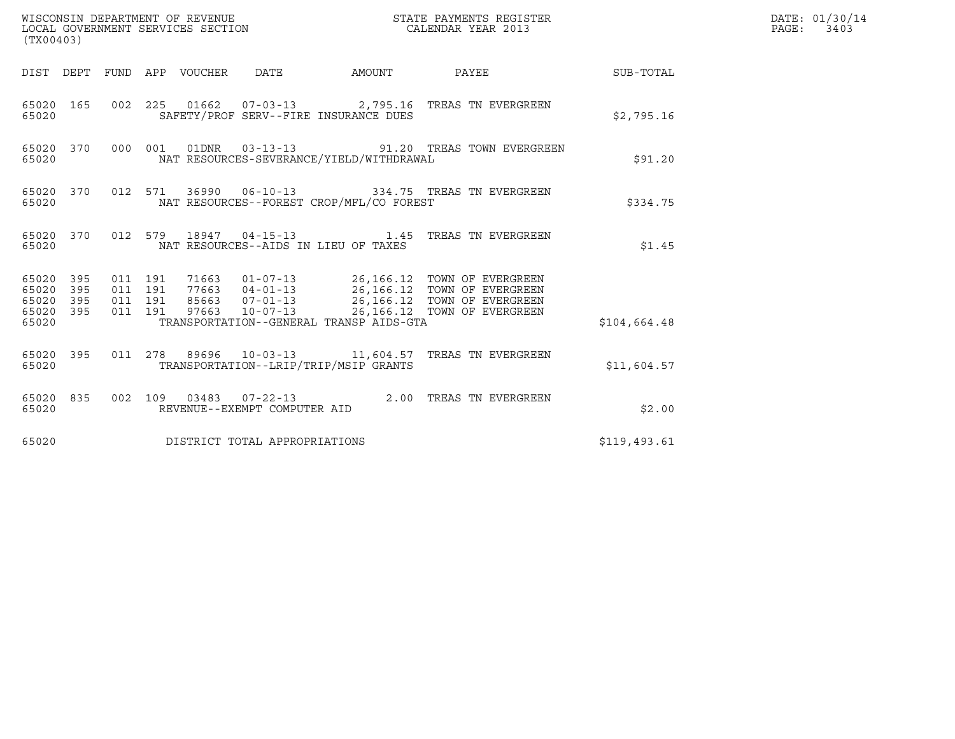| (TX00403)                                |            |                    |                    |                                 |                               |                                          | STATE PAYMENTS REGISTER                                                                                                                                                                          | DATE: 01/30/14<br>PAGE: 3403 |  |
|------------------------------------------|------------|--------------------|--------------------|---------------------------------|-------------------------------|------------------------------------------|--------------------------------------------------------------------------------------------------------------------------------------------------------------------------------------------------|------------------------------|--|
|                                          |            |                    |                    | DIST DEPT FUND APP VOUCHER DATE |                               | AMOUNT                                   | PAYEE                                                                                                                                                                                            | <b>SUB-TOTAL</b>             |  |
| 65020                                    |            |                    |                    |                                 |                               | SAFETY/PROF SERV--FIRE INSURANCE DUES    | 65020 165 002 225 01662 07-03-13 2,795.16 TREAS TN EVERGREEN                                                                                                                                     | \$2,795.16                   |  |
| 65020                                    | 65020 370  |                    |                    |                                 |                               | NAT RESOURCES-SEVERANCE/YIELD/WITHDRAWAL | 000 001 01DNR  03-13-13  91.20 TREAS TOWN EVERGREEN                                                                                                                                              | \$91.20                      |  |
| 65020                                    |            |                    |                    |                                 |                               | NAT RESOURCES--FOREST CROP/MFL/CO FOREST | 65020 370 012 571 36990 06-10-13 334.75 TREAS TN EVERGREEN                                                                                                                                       | \$334.75                     |  |
| 65020 370<br>65020                       |            |                    |                    |                                 |                               | NAT RESOURCES--AIDS IN LIEU OF TAXES     | 012 579 18947 04-15-13 1.45 TREAS TN EVERGREEN                                                                                                                                                   | \$1.45                       |  |
| 65020 395<br>65020<br>65020<br>65020 395 | 395<br>395 | 011 191<br>011 191 | 011 191<br>011 191 |                                 |                               |                                          | 71663  01-07-13  26,166.12  TOWN OF EVERGREEN<br>77663  04-01-13  26,166.12  TOWN OF EVERGREEN<br>85663  07-01-13  26,166.12  TOWN OF EVERGREEN<br>97663  10-07-13  26,166.12  TOWN OF EVERGREEN |                              |  |
| 65020                                    |            |                    |                    |                                 |                               | TRANSPORTATION--GENERAL TRANSP AIDS-GTA  |                                                                                                                                                                                                  | \$104,664.48                 |  |
| 65020                                    | 65020 395  |                    |                    |                                 |                               | TRANSPORTATION--LRIP/TRIP/MSIP GRANTS    | 011  278  89696  10-03-13  11,604.57  TREAS TN EVERGREEN                                                                                                                                         | \$11,604.57                  |  |
| 65020                                    | 65020 835  |                    |                    |                                 | REVENUE--EXEMPT COMPUTER AID  |                                          | 002 109 03483 07-22-13 2.00 TREAS TN EVERGREEN                                                                                                                                                   | \$2.00                       |  |
| 65020                                    |            |                    |                    |                                 | DISTRICT TOTAL APPROPRIATIONS |                                          |                                                                                                                                                                                                  | \$119,493.61                 |  |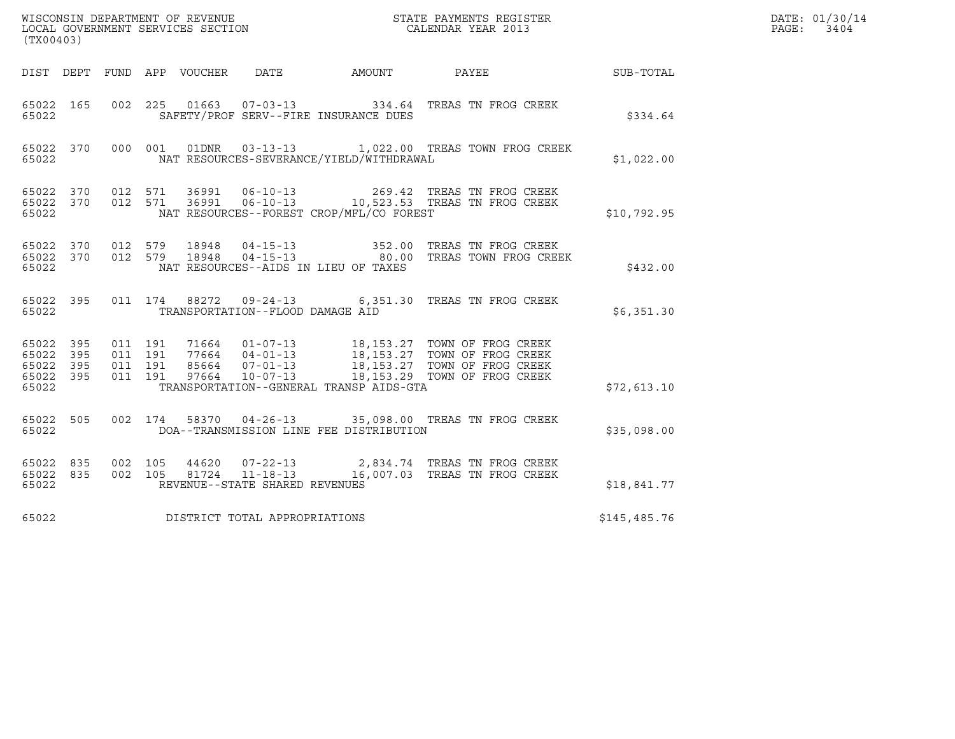| (TX00403)                       |                        |                               |         |                                  |                                          |                                                                                                                                                                                                      |              | DATE: 01/30/14<br>PAGE:<br>3404 |
|---------------------------------|------------------------|-------------------------------|---------|----------------------------------|------------------------------------------|------------------------------------------------------------------------------------------------------------------------------------------------------------------------------------------------------|--------------|---------------------------------|
|                                 |                        |                               |         |                                  |                                          | DIST DEPT FUND APP VOUCHER DATE AMOUNT PAYEE THE SUB-TOTAL                                                                                                                                           |              |                                 |
| 65022                           |                        |                               |         |                                  | SAFETY/PROF SERV--FIRE INSURANCE DUES    | 65022 165 002 225 01663 07-03-13 334.64 TREAS TN FROG CREEK                                                                                                                                          | \$334.64     |                                 |
| 65022                           |                        |                               |         |                                  | NAT RESOURCES-SEVERANCE/YIELD/WITHDRAWAL | 65022 370 000 001 01DNR 03-13-13 1,022.00 TREAS TOWN FROG CREEK                                                                                                                                      | \$1,022.00   |                                 |
| 65022                           |                        |                               |         |                                  | NAT RESOURCES--FOREST CROP/MFL/CO FOREST | 65022 370 012 571 36991 06-10-13 269.42 TREAS TN FROG CREEK 65022 370 012 571 36991 06-10-13 10,523.53 TREAS TN FROG CREEK                                                                           | \$10,792.95  |                                 |
| 65022                           |                        |                               |         |                                  | NAT RESOURCES--AIDS IN LIEU OF TAXES     | 65022 370 012 579 18948 04-15-13 352.00 TREAS TN FROG CREEK<br>65022 370 012 579 18948 04-15-13 80.00 TREAS TOWN FROG CREEK                                                                          | \$432.00     |                                 |
| 65022                           | 65022 395              |                               |         | TRANSPORTATION--FLOOD DAMAGE AID |                                          | 011 174 88272 09-24-13 6,351.30 TREAS TN FROG CREEK                                                                                                                                                  | \$6,351.30   |                                 |
| 65022 395<br>65022 395<br>65022 | 65022 395<br>65022 395 | 011 191<br>011 191<br>011 191 | 011 191 |                                  | TRANSPORTATION--GENERAL TRANSP AIDS-GTA  | 71664  01-07-13  18,153.27  TOWN OF FROG CREEK<br>77664  04-01-13  18,153.27  TOWN OF FROG CREEK<br>85664  07-01-13  18,153.27  TOWN OF FROG CREEK<br>97664  10-07-13  18,153.29  TOWN OF FROG CREEK | \$72,613.10  |                                 |
| 65022                           | 65022 505              |                               |         |                                  | DOA--TRANSMISSION LINE FEE DISTRIBUTION  | 002 174 58370 04-26-13 35,098.00 TREAS TN FROG CREEK                                                                                                                                                 | \$35,098.00  |                                 |
| 65022                           | 65022 835<br>65022 835 | 002 105                       | 002 105 | REVENUE--STATE SHARED REVENUES   |                                          | 44620  07-22-13  2,834.74  TREAS TN FROG CREEK<br>81724  11-18-13   16,007.03  TREAS TN FROG CREEK                                                                                                   | \$18,841.77  |                                 |
| 65022                           |                        |                               |         | DISTRICT TOTAL APPROPRIATIONS    |                                          |                                                                                                                                                                                                      | \$145,485.76 |                                 |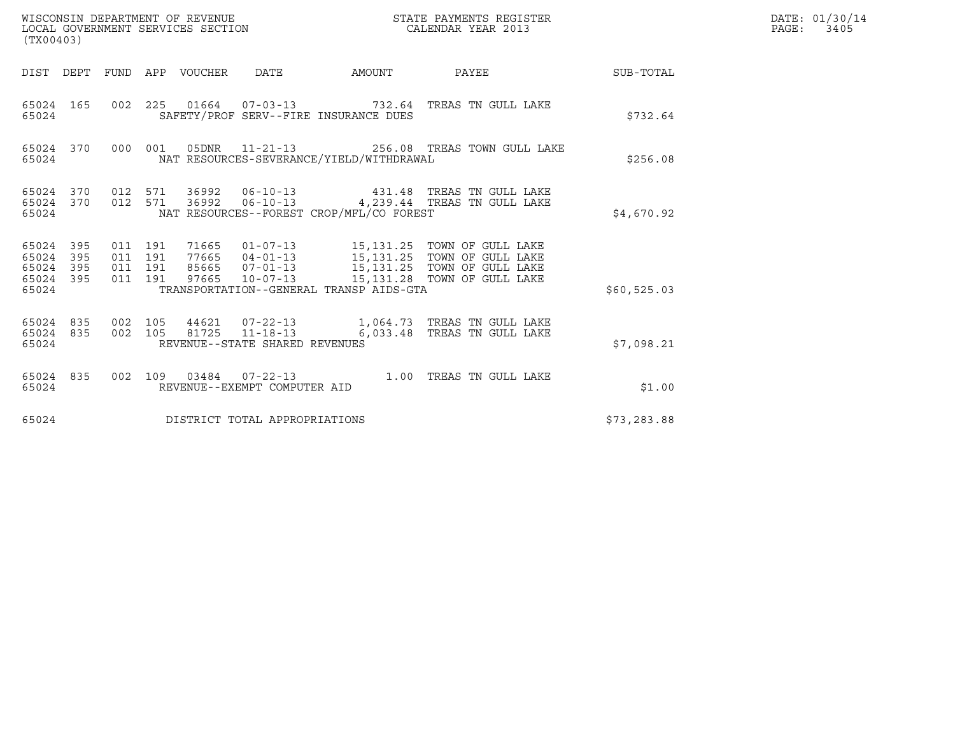| (TX00403)                                                 |                                                                                                                                                                                                                                                                 |                        | DATE: 01/30/14<br>$\mathtt{PAGE:}$<br>3405 |
|-----------------------------------------------------------|-----------------------------------------------------------------------------------------------------------------------------------------------------------------------------------------------------------------------------------------------------------------|------------------------|--------------------------------------------|
|                                                           | DIST DEPT FUND APP VOUCHER DATE                                                                                                                                                                                                                                 | AMOUNT PAYEE SUB-TOTAL |                                            |
| 65024 165<br>65024                                        | 002  225  01664  07-03-13  732.64  TREAS TN GULL LAKE<br>SAFETY/PROF SERV--FIRE INSURANCE DUES                                                                                                                                                                  | \$732.64               |                                            |
| 65024                                                     | 65024 370 000 001 05DNR 11-21-13 256.08 TREAS TOWN GULL LAKE<br>NAT RESOURCES-SEVERANCE/YIELD/WITHDRAWAL                                                                                                                                                        | \$256.08               |                                            |
| 65024 370<br>65024 370<br>65024                           | 012 571 36992 06-10-13 431.48 TREAS TN GULL LAKE<br>012 571 36992 06-10-13 4,239.44 TREAS TN GULL LAKE<br>NAT RESOURCES--FOREST CROP/MFL/CO FOREST                                                                                                              | \$4,670.92             |                                            |
| 65024 395<br>65024 395<br>65024 395<br>65024 395<br>65024 | 011 191 71665 01-07-13 15,131.25 TOWN OF GULL LAKE<br>011 191 77665 04-01-13 15,131.25 TOWN OF GULL LAKE<br>011 191 85665 07-01-13 15,131.25 TOWN OF GULL LAKE<br>011 191 97665 10-07-13 15,131.28 TOWN OF GULL LAKE<br>TRANSPORTATION--GENERAL TRANSP AIDS-GTA | \$60,525.03            |                                            |
| 65024 835<br>65024 835<br>65024                           | 002 105 44621 07-22-13 1,064.73 TREAS TN GULL LAKE<br>002 105 81725 11-18-13 6,033.48 TREAS TN GULL LAKE<br>REVENUE--STATE SHARED REVENUES                                                                                                                      | \$7.098.21             |                                            |
| 65024                                                     | 65024 835 002 109 03484 07-22-13 1.00 TREAS TN GULL LAKE<br>REVENUE--EXEMPT COMPUTER AID                                                                                                                                                                        | \$1.00                 |                                            |
| 65024                                                     | DISTRICT TOTAL APPROPRIATIONS                                                                                                                                                                                                                                   | \$73, 283.88           |                                            |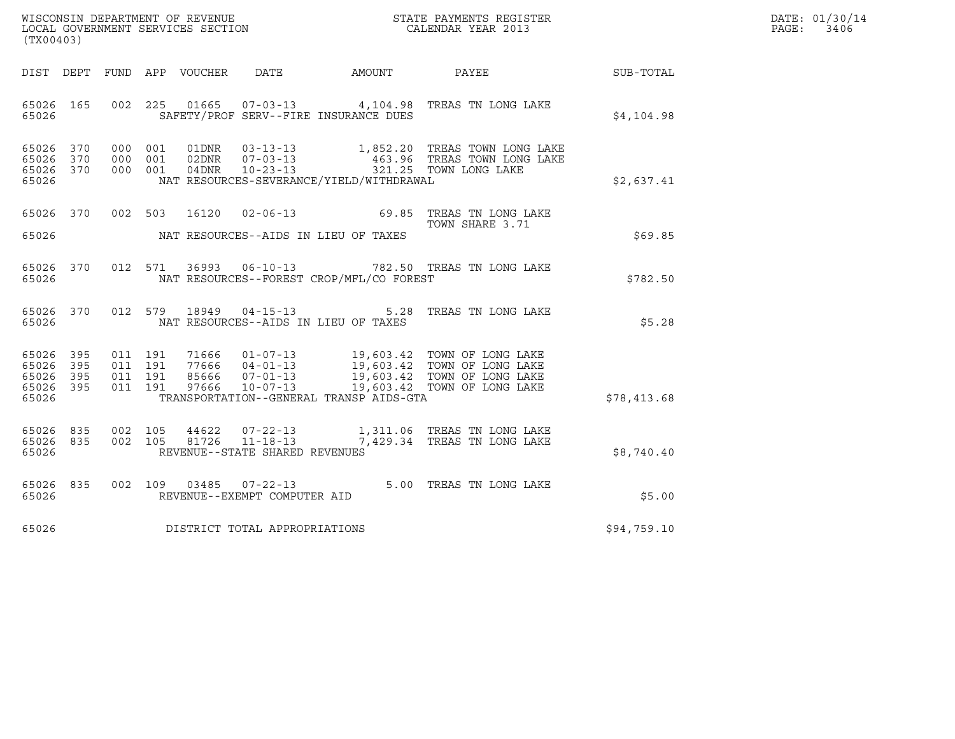| WISCONSIN DEPARTMENT OF REVENUE   | STATE PAYMENTS REGISTER | DATE: 01/30/14 |
|-----------------------------------|-------------------------|----------------|
| LOCAL GOVERNMENT SERVICES SECTION | CALENDAR YEAR 2013      | PAGE:<br>3406  |

| WISCONSIN DEPARTMENT OF REVENUE<br>LOCAL GOVERNMENT SERVICES SECTION THE SERIES CALENDAR YEAR 2013<br>(TX00403) |  |  |  |  |                                     |                                                                              |                                                                                                                                                                                                                      | $\mathbb{E} \mathbb{R}$ | DATE: 01/30/14<br>PAGE:<br>3406 |
|-----------------------------------------------------------------------------------------------------------------|--|--|--|--|-------------------------------------|------------------------------------------------------------------------------|----------------------------------------------------------------------------------------------------------------------------------------------------------------------------------------------------------------------|-------------------------|---------------------------------|
|                                                                                                                 |  |  |  |  |                                     |                                                                              | DIST DEPT FUND APP VOUCHER DATE AMOUNT PAYEE                                                                                                                                                                         | SUB-TOTAL               |                                 |
| 65026                                                                                                           |  |  |  |  |                                     | SAFETY/PROF SERV--FIRE INSURANCE DUES                                        | 65026 165 002 225 01665 07-03-13 4,104.98 TREAS TN LONG LAKE                                                                                                                                                         | \$4,104.98              |                                 |
| 65026 370<br>65026 370<br>65026 370<br>65026                                                                    |  |  |  |  |                                     | NAT RESOURCES-SEVERANCE/YIELD/WITHDRAWAL                                     | 000 001 01DNR 03-13-13 1,852.20 TREAS TOWN LONG LAKE<br>000 001 02DNR 07-03-13 463.96 TREAS TOWN LONG LAKE<br>000 001 04DNR 10-23-13 321.25 TOWN LONG LAKE                                                           | \$2,637.41              |                                 |
|                                                                                                                 |  |  |  |  |                                     | 65026 MAT RESOURCES--AIDS IN LIEU OF TAXES                                   | 65026 370 002 503 16120 02-06-13 69.85 TREAS TN LONG LAKE<br>TOWN SHARE 3.71                                                                                                                                         | \$69.85                 |                                 |
| 65026 370<br>65026                                                                                              |  |  |  |  |                                     | NAT RESOURCES--FOREST CROP/MFL/CO FOREST                                     | 012 571 36993 06-10-13 782.50 TREAS TN LONG LAKE                                                                                                                                                                     | \$782.50                |                                 |
| 65026 370                                                                                                       |  |  |  |  |                                     | 65026                                   NAT RESOURCES--AIDS IN LIEU OF TAXES | 012 579 18949 04-15-13 5.28 TREAS TN LONG LAKE                                                                                                                                                                       | \$5.28                  |                                 |
| 65026 395<br>65026 395<br>65026 395<br>65026 395<br>65026                                                       |  |  |  |  |                                     | TRANSPORTATION--GENERAL TRANSP AIDS-GTA                                      | 011 191 71666 01-07-13 19,603.42 TOWN OF LONG LAKE<br>011 191 77666 04-01-13 19,603.42 TOWN OF LONG LAKE<br>011 191 85666 07-01-13 19,603.42 TOWN OF LONG LAKE<br>011 191 97666 10-07-13 19,603.42 TOWN OF LONG LAKE | \$78,413.68             |                                 |
| 65026 835<br>65026 835<br>65026                                                                                 |  |  |  |  | REVENUE--STATE SHARED REVENUES      |                                                                              | 002 105 44622 07-22-13 1,311.06 TREAS TN LONG LAKE<br>002 105 81726 11-18-13 7,429.34 TREAS TN LONG LAKE                                                                                                             | \$8,740.40              |                                 |
| 65026                                                                                                           |  |  |  |  | REVENUE--EXEMPT COMPUTER AID        |                                                                              | 65026 835 002 109 03485 07-22-13 5.00 TREAS TN LONG LAKE                                                                                                                                                             | \$5.00                  |                                 |
|                                                                                                                 |  |  |  |  | 65026 DISTRICT TOTAL APPROPRIATIONS |                                                                              |                                                                                                                                                                                                                      | \$94,759.10             |                                 |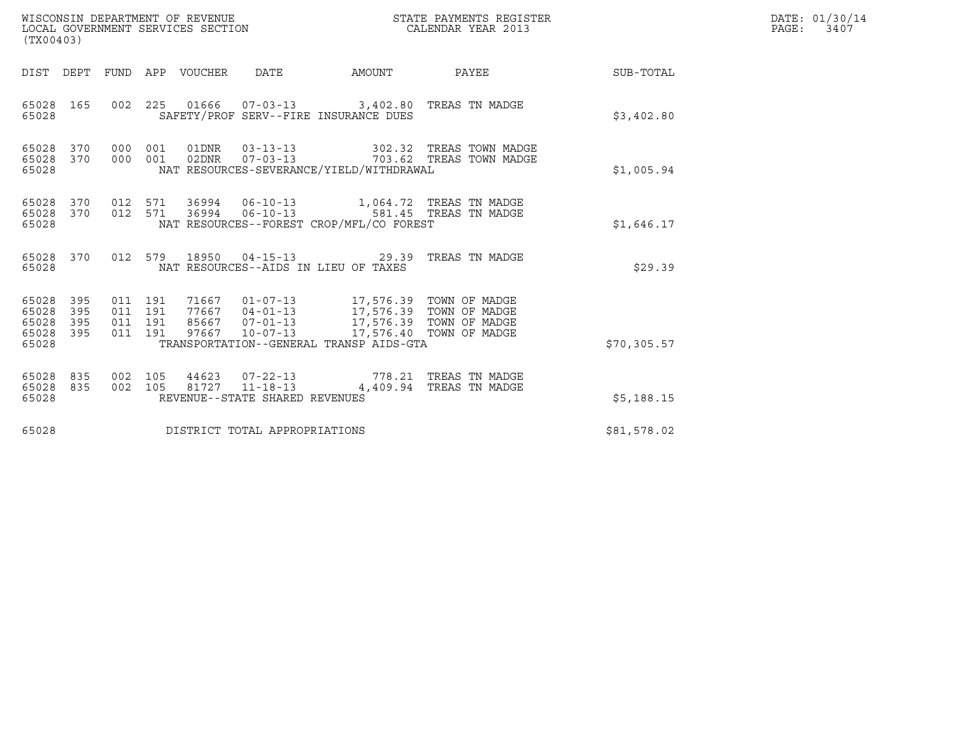| WISCONSIN DEPARTMENT OF REVENUE<br>LOCAL GOVERNMENT SERVICES SECTION<br>(TX00403) |                          |                                          |            |                  |                                                  | STATE PAYMENTS REGISTER<br>CALENDAR YEAR 2013                                                                                                                                                                               |                                                    | DATE: 01/30/14<br>PAGE:<br>3407 |  |
|-----------------------------------------------------------------------------------|--------------------------|------------------------------------------|------------|------------------|--------------------------------------------------|-----------------------------------------------------------------------------------------------------------------------------------------------------------------------------------------------------------------------------|----------------------------------------------------|---------------------------------|--|
| DIST DEPT                                                                         |                          |                                          |            | FUND APP VOUCHER | DATE                                             | AMOUNT                                                                                                                                                                                                                      | PAYEE                                              | SUB-TOTAL                       |  |
| 65028 165<br>65028                                                                |                          |                                          |            |                  |                                                  | 002 225 01666 07-03-13 3,402.80 TREAS TN MADGE<br>SAFETY/PROF SERV--FIRE INSURANCE DUES                                                                                                                                     |                                                    | \$3,402.80                      |  |
| 65028<br>65028<br>65028                                                           | 370<br>370               | 000<br>000                               | 001<br>001 | 02DNR            | $07 - 03 - 13$                                   | NAT RESOURCES-SEVERANCE/YIELD/WITHDRAWAL                                                                                                                                                                                    | 302.32 TREAS TOWN MADGE<br>703.62 TREAS TOWN MADGE | \$1,005.94                      |  |
| 65028<br>65028<br>65028                                                           | 370<br>370               | 012 571<br>012 571                       |            | 36994            | $06 - 10 - 13$                                   | 36994   06-10-13   1,064.72   TREAS TN MADGE<br>NAT RESOURCES--FOREST CROP/MFL/CO FOREST                                                                                                                                    | 581.45 TREAS TN MADGE                              | \$1,646.17                      |  |
| 65028 370<br>65028                                                                |                          | 012 579                                  |            |                  |                                                  | 18950  04-15-13  29.39<br>NAT RESOURCES--AIDS IN LIEU OF TAXES                                                                                                                                                              | TREAS TN MADGE                                     | \$29.39                         |  |
| 65028<br>65028<br>65028<br>65028<br>65028                                         | 395<br>395<br>395<br>395 | 011 191<br>011 191<br>011 191<br>011 191 |            |                  |                                                  | 71667  01-07-13  17,576.39  TOWN OF MADGE<br>77667  04-01-13  17,576.39  TOWN OF MADGE<br>85667  07-01-13  17,576.39  TOWN OF MADGE<br>97667  10-07-13  17,576.40  TOWN OF MADGE<br>TRANSPORTATION--GENERAL TRANSP AIDS-GTA |                                                    | \$70,305.57                     |  |
| 65028<br>65028<br>65028                                                           | 835<br>835               | 002 105<br>002 105                       |            |                  | 81727 11-18-13<br>REVENUE--STATE SHARED REVENUES | 44623 07-22-13 778.21 TREAS TN MADGE                                                                                                                                                                                        | 4,409.94 TREAS TN MADGE                            | \$5,188.15                      |  |
| 65028                                                                             |                          |                                          |            |                  | DISTRICT TOTAL APPROPRIATIONS                    |                                                                                                                                                                                                                             |                                                    | \$81,578.02                     |  |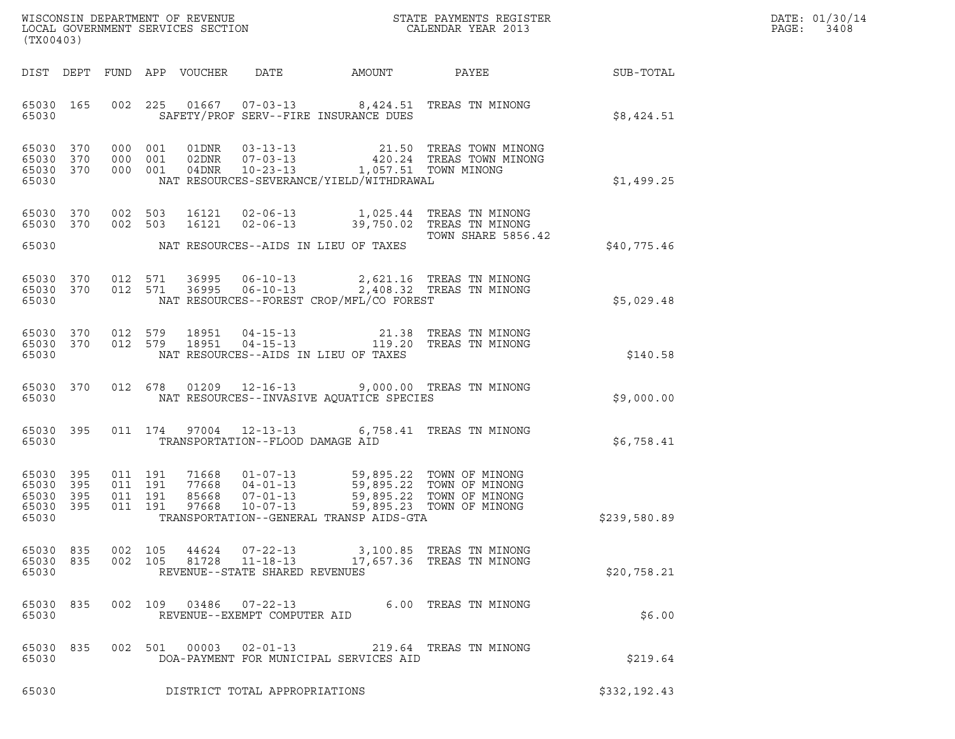| DATE: | 01/30/14 |
|-------|----------|
| PAGE: | 3408     |

| (TX00403)                                             |                        |  |  |  |                                  |                                          |                                                                                                                                                                                                          |              | DATE: 01/30/14<br>$\mathtt{PAGE:}$<br>3408 |
|-------------------------------------------------------|------------------------|--|--|--|----------------------------------|------------------------------------------|----------------------------------------------------------------------------------------------------------------------------------------------------------------------------------------------------------|--------------|--------------------------------------------|
|                                                       |                        |  |  |  |                                  |                                          |                                                                                                                                                                                                          |              |                                            |
| 65030                                                 |                        |  |  |  |                                  | SAFETY/PROF SERV--FIRE INSURANCE DUES    | 65030 165 002 225 01667 07-03-13 8,424.51 TREAS TN MINONG                                                                                                                                                | \$8,424.51   |                                            |
| 65030 370<br>65030 370<br>65030 370<br>65030          |                        |  |  |  |                                  | NAT RESOURCES-SEVERANCE/YIELD/WITHDRAWAL | 000 001 01DNR 03-13-13 21.50 TREAS TOWN MINONG<br>000 001 02DNR 07-03-13 420.24 TREAS TOWN MINONG<br>000 001 04DNR 10-23-13 1,057.51 TOWN MINONG                                                         | \$1,499.25   |                                            |
| 65030 370                                             | 65030 370              |  |  |  |                                  |                                          | 002 503 16121 02-06-13 1,025.44 TREAS TN MINONG<br>002 503 16121 02-06-13 39,750.02 TREAS TN MINONG<br><b>TOWN SHARE 5856.42</b>                                                                         |              |                                            |
| 65030                                                 |                        |  |  |  |                                  | NAT RESOURCES--AIDS IN LIEU OF TAXES     |                                                                                                                                                                                                          | \$40,775.46  |                                            |
| 65030 370<br>65030 370<br>65030                       |                        |  |  |  |                                  | NAT RESOURCES--FOREST CROP/MFL/CO FOREST | 012 571 36995 06-10-13 2,621.16 TREAS TN MINONG<br>012 571 36995 06-10-13 2,408.32 TREAS TN MINONG                                                                                                       | \$5,029.48   |                                            |
| 65030 370<br>65030 370<br>65030                       |                        |  |  |  |                                  | NAT RESOURCES--AIDS IN LIEU OF TAXES     | 012 579 18951 04-15-13 21.38 TREAS TN MINONG<br>012 579 18951 04-15-13 119.20 TREAS TN MINONG                                                                                                            | \$140.58     |                                            |
| 65030                                                 |                        |  |  |  |                                  | NAT RESOURCES--INVASIVE AQUATICE SPECIES | 65030 370 012 678 01209 12-16-13 9,000.00 TREAS TN MINONG                                                                                                                                                | \$9,000.00   |                                            |
| 65030                                                 |                        |  |  |  | TRANSPORTATION--FLOOD DAMAGE AID |                                          | 65030 395 011 174 97004 12-13-13 6,758.41 TREAS TN MINONG                                                                                                                                                | \$6,758.41   |                                            |
| 65030 395<br>65030<br>65030 395<br>65030 395<br>65030 | 395                    |  |  |  |                                  | TRANSPORTATION--GENERAL TRANSP AIDS-GTA  | 011 191 71668 01-07-13 59,895.22 TOWN OF MINONG<br>011 191 77668 04-01-13 59,895.22 TOWN OF MINONG<br>011 191 97668 07-01-13 59,895.22 TOWN OF MINONG<br>011 191 97668 10-07-13 59,895.23 TOWN OF MINONG | \$239,580.89 |                                            |
| 65030                                                 | 65030 835<br>65030 835 |  |  |  | REVENUE--STATE SHARED REVENUES   |                                          | 002 105 44624 07-22-13 3,100.85 TREAS TN MINONG<br>002 105 81728 11-18-13 17,657.36 TREAS TN MINONG                                                                                                      | \$20,758.21  |                                            |
| 65030                                                 | 65030 835              |  |  |  | REVENUE--EXEMPT COMPUTER AID     |                                          | 002 109 03486 07-22-13 6.00 TREAS TN MINONG                                                                                                                                                              | \$6.00       |                                            |
| 65030                                                 | 65030 835              |  |  |  |                                  | DOA-PAYMENT FOR MUNICIPAL SERVICES AID   | 002 501 00003 02-01-13 219.64 TREAS TN MINONG                                                                                                                                                            | \$219.64     |                                            |
| 65030                                                 |                        |  |  |  | DISTRICT TOTAL APPROPRIATIONS    |                                          |                                                                                                                                                                                                          | \$332,192.43 |                                            |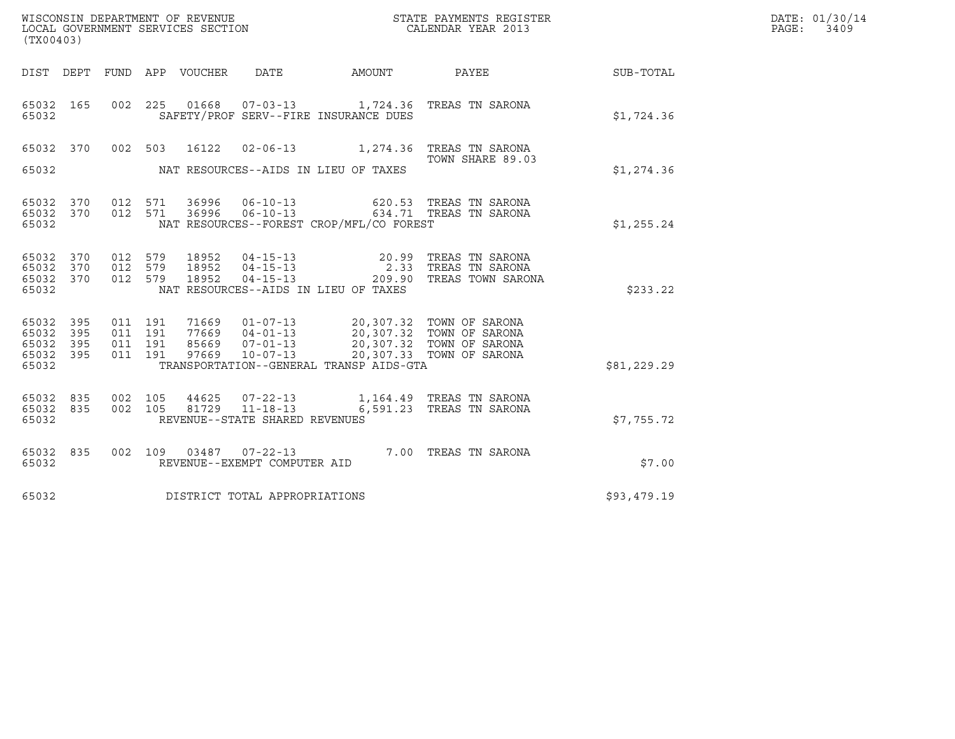| WISCONSIN DEPARTMENT OF REVENUE<br>LOCAL GOVERNMENT SERVICES SECTION<br>$(my \wedge \wedge \wedge \wedge)$ | STATE PAYMENTS REGISTER<br>CALENDAR YEAR 2013 | DATE: 01/30/14<br>PAGE:<br>3409 |
|------------------------------------------------------------------------------------------------------------|-----------------------------------------------|---------------------------------|

|                         | WISCONSIN DEPARTMENT OF REVENUE<br>LOCAL GOVERNMENT SERVICES SECTION<br>(TX00403) |            |            |                |                                                |                                          | STATE PAYMENTS REGISTER<br>CALENDAR YEAR 2013                                                                                                                                                          |             |
|-------------------------|-----------------------------------------------------------------------------------|------------|------------|----------------|------------------------------------------------|------------------------------------------|--------------------------------------------------------------------------------------------------------------------------------------------------------------------------------------------------------|-------------|
| DIST                    | DEPT                                                                              | FUND       |            |                |                                                | APP VOUCHER DATE AMOUNT                  | <b>PAYEE</b>                                                                                                                                                                                           | SUB-TOTAL   |
| 65032<br>65032          | 165                                                                               | 002        |            |                |                                                | SAFETY/PROF SERV--FIRE INSURANCE DUES    | 225 01668 07-03-13 1,724.36 TREAS TN SARONA                                                                                                                                                            | \$1,724.36  |
| 65032                   | 370                                                                               | 002        | 503        | 16122          | $02 - 06 - 13$                                 |                                          | 1,274.36 TREAS TN SARONA<br>TOWN SHARE 89.03                                                                                                                                                           |             |
| 65032                   |                                                                                   |            |            |                |                                                | NAT RESOURCES--AIDS IN LIEU OF TAXES     |                                                                                                                                                                                                        | \$1,274.36  |
| 65032<br>65032          | 370<br>370                                                                        | 012<br>012 | 571<br>571 | 36996          |                                                |                                          | 620.53 TREAS TN SARONA<br>06-10-13 634.71 TREAS TN SARONA                                                                                                                                              |             |
| 65032                   |                                                                                   |            |            |                |                                                | NAT RESOURCES--FOREST CROP/MFL/CO FOREST |                                                                                                                                                                                                        | \$1,255.24  |
| 65032<br>65032          | 370<br>370                                                                        | 012<br>012 | 579<br>579 | 18952<br>18952 | $04 - 15 - 13$<br>$04 - 15 - 13$               |                                          | 20.99 TREAS TN SARONA<br>2.33 TREAS TN SARONA                                                                                                                                                          |             |
| 65032<br>65032          | 370                                                                               | 012        | 579        | 18952          | $04 - 15 - 13$                                 | NAT RESOURCES--AIDS IN LIEU OF TAXES     | 209.90 TREAS TOWN SARONA                                                                                                                                                                               | \$233.22    |
| 65032<br>65032          | 395<br>395                                                                        | 011<br>011 | 191<br>191 | 71669<br>77669 |                                                |                                          | $\begin{tabular}{cccc} 01-07-13 & 20,307.32 & TOWN OF SARONA \\ 04-01-13 & 20,307.32 & TOWN OF SARONA \\ 07-01-13 & 20,307.32 & TOWN OF SARONA \\ 10-07-13 & 20,307.33 & TOWN OF SARONA \end{tabular}$ |             |
| 65032<br>65032<br>65032 | 395<br>395                                                                        | 011<br>011 | 191<br>191 | 97669          | 85669 07-01-13                                 | TRANSPORTATION--GENERAL TRANSP AIDS-GTA  |                                                                                                                                                                                                        | \$81,229.29 |
|                         |                                                                                   |            |            |                |                                                |                                          |                                                                                                                                                                                                        |             |
| 65032<br>65032          | 835<br>835                                                                        | 002<br>002 | 105<br>105 | 44625<br>81729 | 07-22-13<br>$11 - 18 - 13$                     |                                          | 1,164.49 TREAS TN SARONA<br>6,591.23 TREAS TN SARONA                                                                                                                                                   |             |
| 65032                   |                                                                                   |            |            |                | REVENUE--STATE SHARED REVENUES                 |                                          |                                                                                                                                                                                                        | \$7,755.72  |
| 65032<br>65032          | 835                                                                               | 002        | 109        |                | 03487 07-22-13<br>REVENUE--EXEMPT COMPUTER AID |                                          | 7.00 TREAS TN SARONA                                                                                                                                                                                   | \$7.00      |
| 65032                   |                                                                                   |            |            |                | DISTRICT TOTAL APPROPRIATIONS                  |                                          |                                                                                                                                                                                                        | \$93,479.19 |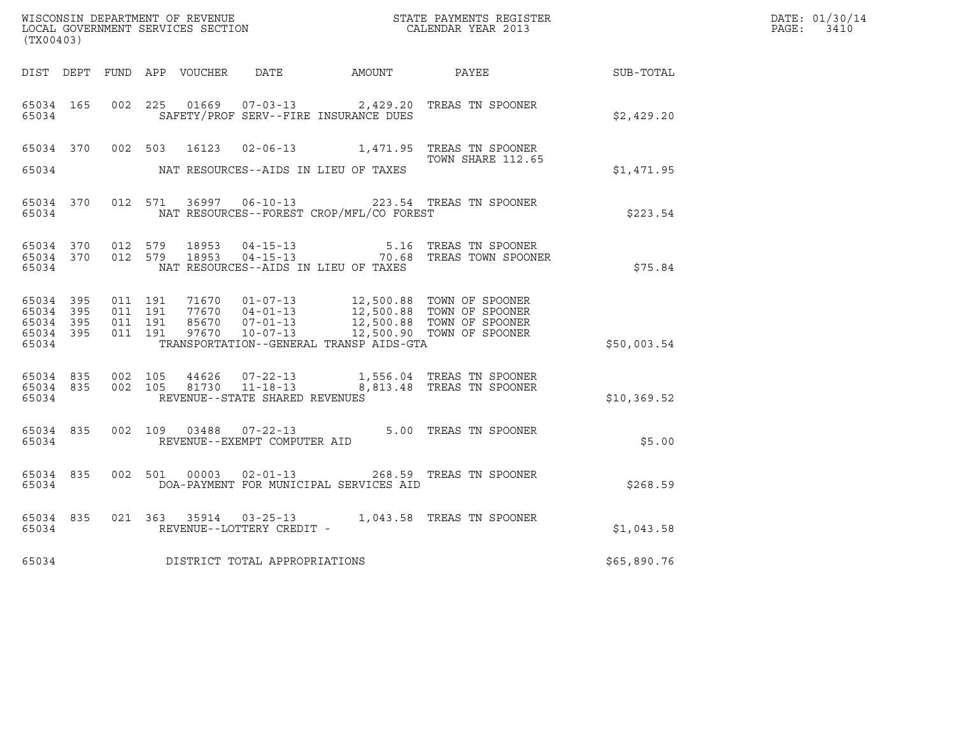| WISCONSIN DEPARTMENT OF REVENUE<br>LOCAL GOVERNMENT SERVICES SECTION CALENDAR YEAR 2013<br>(TX00403) |                    |  |                    |  |                                |                                          |                                                                                                                                                                                                                                                                                                                                                     |             | DATE: 01/30/14<br>PAGE: 3410 |
|------------------------------------------------------------------------------------------------------|--------------------|--|--------------------|--|--------------------------------|------------------------------------------|-----------------------------------------------------------------------------------------------------------------------------------------------------------------------------------------------------------------------------------------------------------------------------------------------------------------------------------------------------|-------------|------------------------------|
|                                                                                                      |                    |  |                    |  |                                |                                          | DIST DEPT FUND APP VOUCHER DATE AMOUNT PAYEE TO SUB-TOTAL                                                                                                                                                                                                                                                                                           |             |                              |
| 65034 165<br>65034                                                                                   |                    |  |                    |  |                                | SAFETY/PROF SERV--FIRE INSURANCE DUES    | 002 225 01669 07-03-13 2,429.20 TREAS TN SPOONER                                                                                                                                                                                                                                                                                                    | \$2,429.20  |                              |
|                                                                                                      |                    |  |                    |  |                                |                                          | 65034 370 002 503 16123 02-06-13 1,471.95 TREAS TN SPOONER<br>TOWN SHARE 112.65                                                                                                                                                                                                                                                                     |             |                              |
| 65034                                                                                                |                    |  |                    |  |                                | NAT RESOURCES--AIDS IN LIEU OF TAXES     |                                                                                                                                                                                                                                                                                                                                                     | \$1,471.95  |                              |
| 65034                                                                                                |                    |  |                    |  |                                | NAT RESOURCES--FOREST CROP/MFL/CO FOREST | 65034 370 012 571 36997 06-10-13 223.54 TREAS TN SPOONER                                                                                                                                                                                                                                                                                            | \$223.54    |                              |
| 65034                                                                                                |                    |  |                    |  |                                | NAT RESOURCES--AIDS IN LIEU OF TAXES     | 65034 370 012 579 18953 04-15-13 5.16 TREAS TN SPOONER<br>65034 370 012 579 18953 04-15-13 70.68 TREAS TOWN SPOONER                                                                                                                                                                                                                                 | \$75.84     |                              |
| 65034 395<br>65034 395<br>65034 395<br>65034                                                         | 65034 395          |  |                    |  |                                | TRANSPORTATION--GENERAL TRANSP AIDS-GTA  | $\begin{array}{cccccc} 011 & 191 & 71670 & 01\texttt{-}07\texttt{-}13 & 12,500.88 & \texttt{TOWN OF SPOONER} \\ 011 & 191 & 77670 & 04\texttt{-}01\texttt{-}13 & 12,500.88 & \texttt{TOWN OF SPOONER} \\ 011 & 191 & 85670 & 07\texttt{-}01\texttt{-}13 & 12,500.88 & \texttt{TOWN OF SPOONER} \\ 011 & 191 & 97670 & 10\texttt{-}07\texttt{-}13 &$ | \$50,003.54 |                              |
| 65034 835<br>65034                                                                                   | 65034 835          |  | 002 105<br>002 105 |  | REVENUE--STATE SHARED REVENUES |                                          | 44626  07-22-13   1,556.04   TREAS TN SPOONER<br>81730  11-18-13  8,813.48  TREAS TN SPOONER                                                                                                                                                                                                                                                        | \$10,369.52 |                              |
|                                                                                                      | 65034 835<br>65034 |  |                    |  |                                |                                          | 002 109 03488 07-22-13 5.00 TREAS TN SPOONER<br>REVENUE--EXEMPT COMPUTER AID                                                                                                                                                                                                                                                                        | \$5.00      |                              |
| 65034                                                                                                | 65034 835          |  |                    |  |                                | DOA-PAYMENT FOR MUNICIPAL SERVICES AID   | 002 501 00003 02-01-13 268.59 TREAS TN SPOONER                                                                                                                                                                                                                                                                                                      | \$268.59    |                              |
| 65034                                                                                                | 65034 835          |  |                    |  | REVENUE--LOTTERY CREDIT -      |                                          | 021 363 35914 03-25-13 1,043.58 TREAS TN SPOONER                                                                                                                                                                                                                                                                                                    | \$1,043.58  |                              |
| 65034                                                                                                |                    |  |                    |  | DISTRICT TOTAL APPROPRIATIONS  |                                          |                                                                                                                                                                                                                                                                                                                                                     | \$65,890.76 |                              |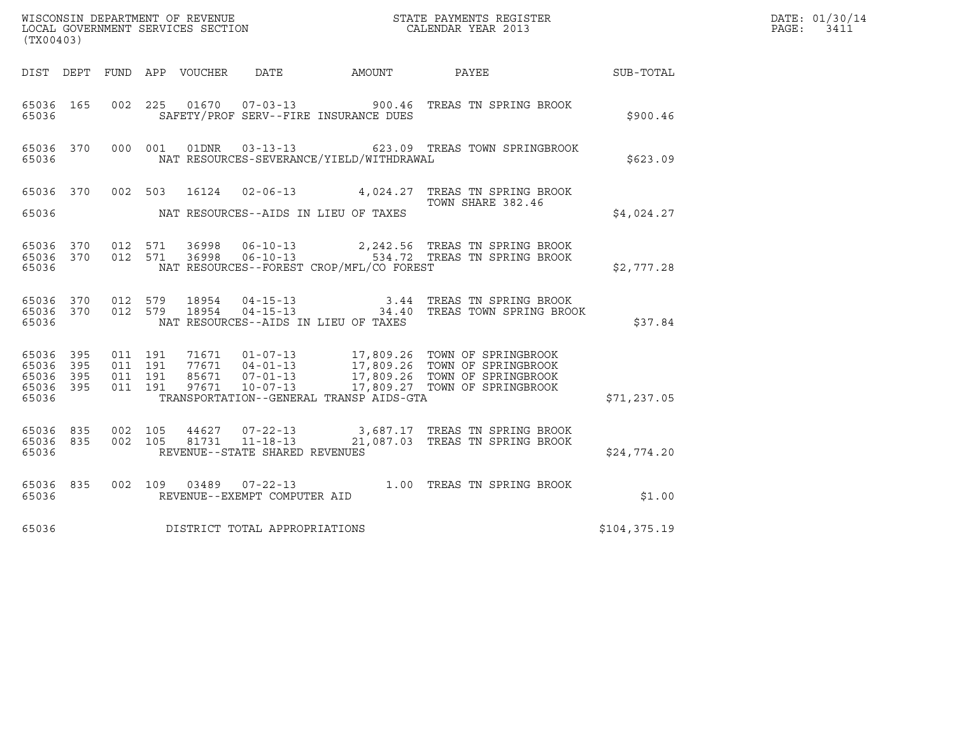| (TX00403)                                                          | ${\tt WISCOONSIM} \begin{tabular}{lcccc} DEPARTMENT OF REVIEW & \multicolumn{2}{c}{\bullet} & \multicolumn{2}{c}{\bullet} & \multicolumn{2}{c}{\bullet} & \multicolumn{2}{c}{\tt STATE} \begin{tabular}{lcccc} PAPMENTS REGISTER \\ LOCAL BODAR YEAR & 2013 \\ \end{tabular}$                   |                                                                                                                                                   |              | DATE: 01/30/14<br>$\mathtt{PAGE}$ :<br>3411 |
|--------------------------------------------------------------------|-------------------------------------------------------------------------------------------------------------------------------------------------------------------------------------------------------------------------------------------------------------------------------------------------|---------------------------------------------------------------------------------------------------------------------------------------------------|--------------|---------------------------------------------|
|                                                                    |                                                                                                                                                                                                                                                                                                 |                                                                                                                                                   | SUB-TOTAL    |                                             |
| 65036 165<br>65036                                                 | 002  225  01670  07-03-13  900.46  TREAS TN SPRING BROOK<br>SAFETY/PROF SERV--FIRE INSURANCE DUES                                                                                                                                                                                               |                                                                                                                                                   | \$900.46     |                                             |
| 65036 370<br>65036                                                 | 000 001 01DNR  03-13-13  623.09 TREAS TOWN SPRINGBROOK<br>NAT RESOURCES-SEVERANCE/YIELD/WITHDRAWAL                                                                                                                                                                                              |                                                                                                                                                   | \$623.09     |                                             |
|                                                                    | 65036 370 002 503 16124 02-06-13 4,024.27 TREAS TN SPRING BROOK                                                                                                                                                                                                                                 | TOWN SHARE 382.46                                                                                                                                 |              |                                             |
| 65036                                                              | NAT RESOURCES--AIDS IN LIEU OF TAXES                                                                                                                                                                                                                                                            |                                                                                                                                                   | \$4,024.27   |                                             |
| 65036 370<br>65036 370<br>65036                                    | 36998  06-10-13  2,242.56  TREAS TN SPRING BROOK<br>36998  06-10-13  534.72  TREAS TN SPRING BROOK<br>012 571<br>012 571<br>NAT RESOURCES--FOREST CROP/MFL/CO FOREST                                                                                                                            |                                                                                                                                                   | \$2,777.28   |                                             |
| 65036 370<br>65036 370<br>65036                                    | 012 579<br>18954<br>012 579<br>18954<br>NAT RESOURCES--AIDS IN LIEU OF TAXES                                                                                                                                                                                                                    | 04-15-13                             3.44   TREAS TN SPRING BROOK<br>04-15-13                                     34.40   TREAS TOWN SPRING BROOK | \$37.84      |                                             |
| 65036 395<br>395<br>65036<br>65036<br>395<br>395<br>65036<br>65036 | 71671  01-07-13  17,809.26  TOWN OF SPRINGBROOK<br>77671  04-01-13  17,809.26  TOWN OF SPRINGBROOK<br>85671  07-01-13  17,809.26  TOWN OF SPRINGBROOK<br>97671  10-07-13  17,809.27  TOWN OF SPRINGBROOK<br>011 191<br>011 191<br>011 191<br>011 191<br>TRANSPORTATION--GENERAL TRANSP AIDS-GTA |                                                                                                                                                   | \$71,237.05  |                                             |
| 65036 835<br>65036 835<br>65036                                    | 002 105<br>44627 07-22-13 3,687.17 TREAS TN SPRING BROOK<br>$11 - 18 - 13$<br>002 105<br>81731<br>REVENUE--STATE SHARED REVENUES                                                                                                                                                                | 21,087.03 TREAS TN SPRING BROOK                                                                                                                   | \$24,774.20  |                                             |
| 65036 835<br>65036                                                 | 002 109 03489 07-22-13 1.00 TREAS TN SPRING BROOK<br>REVENUE--EXEMPT COMPUTER AID                                                                                                                                                                                                               |                                                                                                                                                   | \$1.00       |                                             |
| 65036                                                              | DISTRICT TOTAL APPROPRIATIONS                                                                                                                                                                                                                                                                   |                                                                                                                                                   | \$104,375.19 |                                             |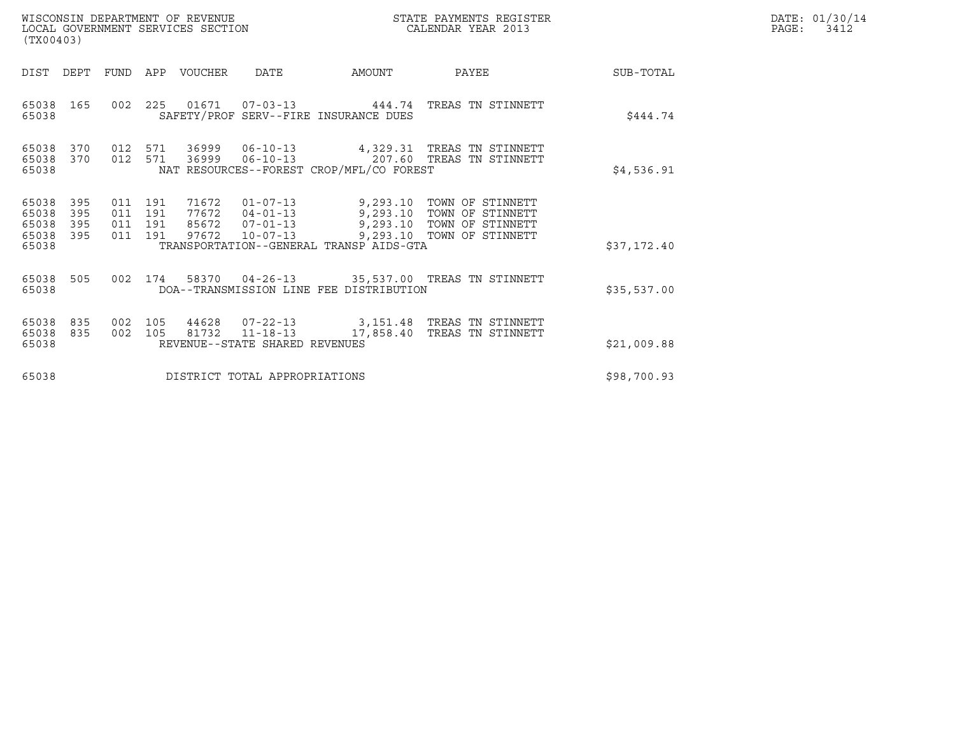| DATE: | 01/30/14 |
|-------|----------|
| PAGE: | 3412     |

| WISCONSIN DEPARTMENT OF REVENUE<br>LOCAL GOVERNMENT SERVICES SECTION<br>(TX00403) |                          |                                          |                |                |                                                  |                                          | STATE PAYMENTS REGISTER<br>CALENDAR YEAR 2013                                                                             |             | DATE: 01/30/14<br>PAGE:<br>3412 |
|-----------------------------------------------------------------------------------|--------------------------|------------------------------------------|----------------|----------------|--------------------------------------------------|------------------------------------------|---------------------------------------------------------------------------------------------------------------------------|-------------|---------------------------------|
| DIST                                                                              | DEPT                     | FUND                                     | APP            | VOUCHER        | DATE                                             | AMOUNT                                   | PAYEE                                                                                                                     | SUB-TOTAL   |                                 |
| 65038 165<br>65038                                                                |                          | 002                                      | 225            | 01671          |                                                  | SAFETY/PROF SERV--FIRE INSURANCE DUES    | 07-03-13 444.74 TREAS TN STINNETT                                                                                         | \$444.74    |                                 |
| 65038<br>65038 370<br>65038                                                       | 370                      | 012                                      | 571<br>012 571 | 36999<br>36999 | $06 - 10 - 13$                                   | NAT RESOURCES--FOREST CROP/MFL/CO FOREST | 4,329.31 TREAS TN STINNETT<br>06-10-13 207.60 TREAS TN STINNETT                                                           | \$4,536.91  |                                 |
| 65038<br>65038<br>65038<br>65038                                                  | 395<br>395<br>395<br>395 | 011 191<br>011 191<br>011 191<br>011 191 |                | 71672<br>97672 | 85672  07-01-13<br>$10 - 07 - 13$                |                                          | 01-07-13 9,293.10 TOWN OF STINNETT<br>9,293.10 TOWN OF STINNETT<br>9,293.10 TOWN OF STINNETT<br>9,293.10 TOWN OF STINNETT |             |                                 |
| 65038                                                                             |                          |                                          |                |                |                                                  | TRANSPORTATION--GENERAL TRANSP AIDS-GTA  |                                                                                                                           | \$37,172.40 |                                 |
| 65038<br>65038                                                                    | 505                      | 002                                      | 174            |                |                                                  | DOA--TRANSMISSION LINE FEE DISTRIBUTION  | 58370  04-26-13  35,537.00  TREAS  TN STINNETT                                                                            | \$35,537.00 |                                 |
| 65038<br>65038<br>65038                                                           | 835<br>835               | 002<br>002                               | 105<br>105     | 81732          | $11 - 18 - 13$<br>REVENUE--STATE SHARED REVENUES |                                          | 44628  07-22-13  3,151.48  TREAS TN STINNETT<br>17,858.40   TREAS  TN  STINNETT                                           | \$21,009.88 |                                 |
| 65038                                                                             |                          |                                          |                |                | DISTRICT TOTAL APPROPRIATIONS                    |                                          |                                                                                                                           | \$98,700.93 |                                 |
|                                                                                   |                          |                                          |                |                |                                                  |                                          |                                                                                                                           |             |                                 |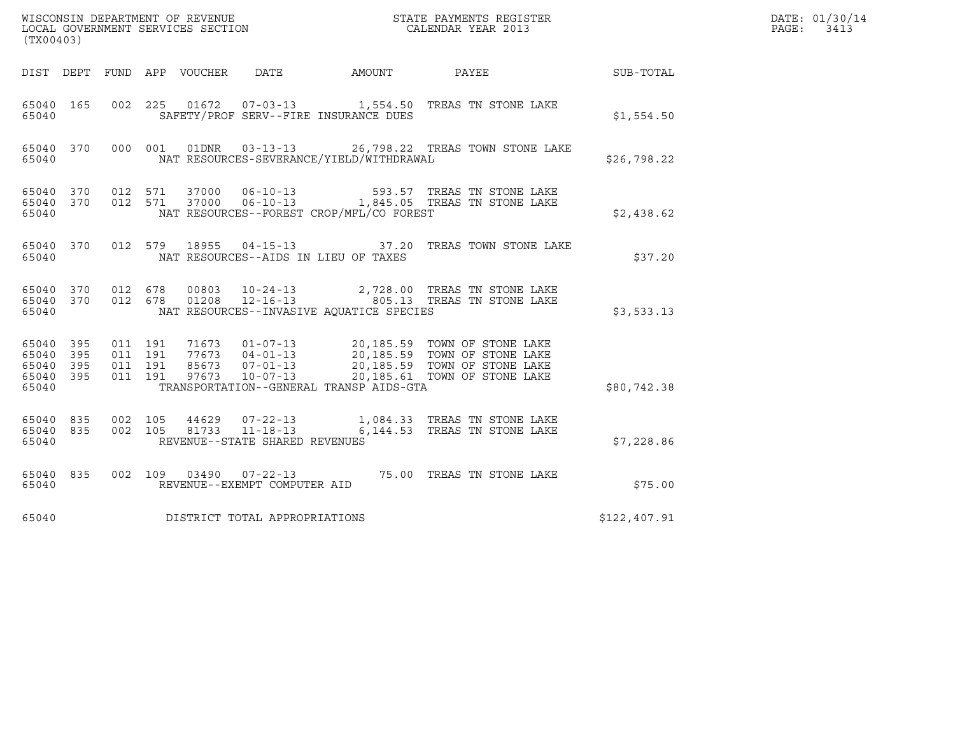| ${\tt WISCO} {\tt NSM} {\tt NEMR} {\tt NEMR} {\tt NEMR} {\tt NEMR} {\tt NEMR} {\tt NEMR} {\tt NEMR} {\tt NEMR} {\tt NEMR} {\tt NEMR} {\tt NEMR} {\tt NEMR} {\tt NEMR} {\tt NEMR} {\tt NEMR} {\tt NEMR} {\tt NEMR} {\tt NEMR} {\tt NEMR} {\tt NEMR} {\tt NEMR} {\tt NEMR} {\tt NEMR} {\tt NEMR} {\tt NEMR} {\tt NEMR} {\tt NEMR} {\tt NEMR} {\tt NEMR} {\tt NEMR} {\tt NEMR} {\tt NEMR} {\tt NEMR} {\tt NEMR} {\tt NEMR}$<br>(TX00403) |                   |                               |                    |                |                                                  |                                          |                                                                                                                                                                                                      |              | DATE: 01/30/14<br>PAGE:<br>3413 |
|---------------------------------------------------------------------------------------------------------------------------------------------------------------------------------------------------------------------------------------------------------------------------------------------------------------------------------------------------------------------------------------------------------------------------------------|-------------------|-------------------------------|--------------------|----------------|--------------------------------------------------|------------------------------------------|------------------------------------------------------------------------------------------------------------------------------------------------------------------------------------------------------|--------------|---------------------------------|
|                                                                                                                                                                                                                                                                                                                                                                                                                                       |                   |                               |                    |                | DIST DEPT FUND APP VOUCHER DATE                  | AMOUNT PAYEE                             |                                                                                                                                                                                                      | SUB-TOTAL    |                                 |
| 65040 165<br>65040                                                                                                                                                                                                                                                                                                                                                                                                                    |                   |                               |                    |                |                                                  | SAFETY/PROF SERV--FIRE INSURANCE DUES    | 002 225 01672 07-03-13 1,554.50 TREAS TN STONE LAKE                                                                                                                                                  | \$1,554.50   |                                 |
| 65040 370<br>65040                                                                                                                                                                                                                                                                                                                                                                                                                    |                   |                               | 000 001            | 01DNR          |                                                  | NAT RESOURCES-SEVERANCE/YIELD/WITHDRAWAL | 03-13-13 26,798.22 TREAS TOWN STONE LAKE                                                                                                                                                             | \$26,798.22  |                                 |
| 65040 370<br>65040 370<br>65040                                                                                                                                                                                                                                                                                                                                                                                                       |                   |                               | 012 571<br>012 571 | 37000<br>37000 |                                                  | NAT RESOURCES--FOREST CROP/MFL/CO FOREST | 06-10-13 593.57 TREAS TN STONE LAKE<br>06-10-13 1,845.05 TREAS TN STONE LAKE                                                                                                                         | \$2,438.62   |                                 |
| 65040 370<br>65040                                                                                                                                                                                                                                                                                                                                                                                                                    |                   |                               |                    |                |                                                  | NAT RESOURCES--AIDS IN LIEU OF TAXES     | 012 579 18955 04-15-13 37.20 TREAS TOWN STONE LAKE                                                                                                                                                   | \$37.20      |                                 |
| 65040 370 012 678<br>65040 370<br>65040                                                                                                                                                                                                                                                                                                                                                                                               |                   | 012 678                       |                    | 00803<br>01208 | $10 - 24 - 13$                                   | NAT RESOURCES--INVASIVE AQUATICE SPECIES | 2,728.00 TREAS TN STONE LAKE<br>12-16-13 27/20100 Humb IN STONE LAKE                                                                                                                                 | \$3,533.13   |                                 |
| 65040 395<br>65040<br>65040<br>65040<br>65040                                                                                                                                                                                                                                                                                                                                                                                         | 395<br>395<br>395 | 011 191<br>011 191<br>011 191 | 011 191            |                |                                                  | TRANSPORTATION--GENERAL TRANSP AIDS-GTA  | 71673  01-07-13  20,185.59  TOWN OF STONE LAKE<br>77673  04-01-13  20,185.59  TOWN OF STONE LAKE<br>85673  07-01-13  20,185.59  TOWN OF STONE LAKE<br>97673  10-07-13  20,185.61  TOWN OF STONE LAKE | \$80,742.38  |                                 |
| 65040 835<br>65040 835<br>65040                                                                                                                                                                                                                                                                                                                                                                                                       |                   | 002 105<br>002 105            |                    | 44629<br>81733 | $11 - 18 - 13$<br>REVENUE--STATE SHARED REVENUES |                                          | 07-22-13 1,084.33 TREAS TN STONE LAKE<br>6,144.53 TREAS TN STONE LAKE                                                                                                                                | \$7,228.86   |                                 |
| 65040 835<br>65040                                                                                                                                                                                                                                                                                                                                                                                                                    |                   |                               |                    |                | REVENUE--EXEMPT COMPUTER AID                     |                                          | 002 109 03490 07-22-13 75.00 TREAS TN STONE LAKE                                                                                                                                                     | \$75.00      |                                 |
| 65040                                                                                                                                                                                                                                                                                                                                                                                                                                 |                   |                               |                    |                | DISTRICT TOTAL APPROPRIATIONS                    |                                          |                                                                                                                                                                                                      | \$122,407.91 |                                 |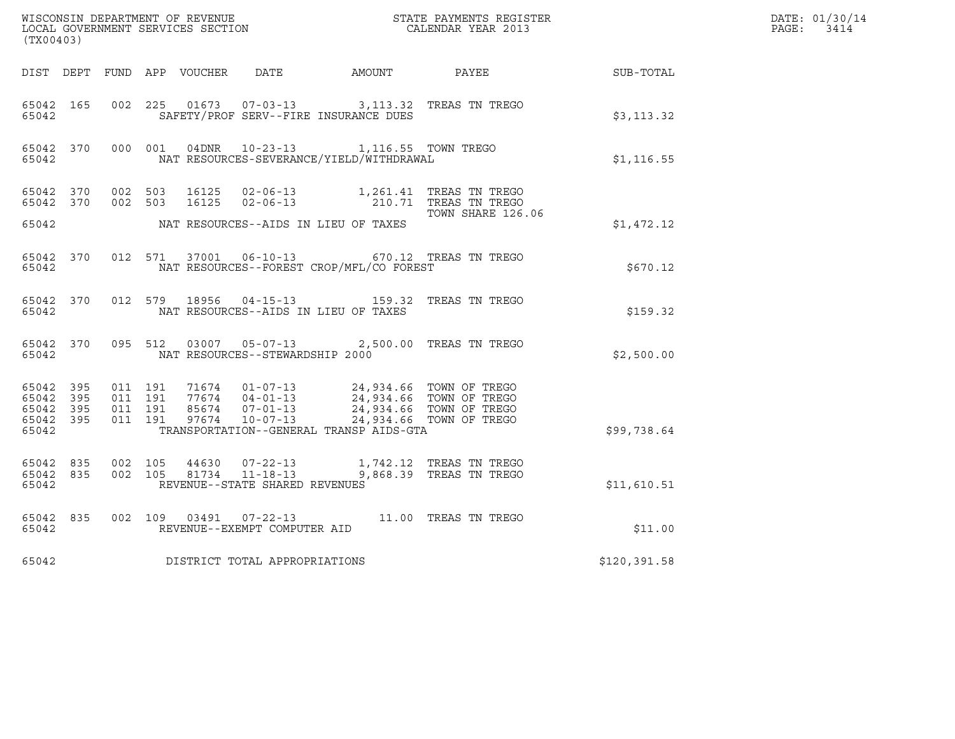| (TX00403)                                    |           |                    |                    |  |                                 |                                                                                                                    |                   |              | DATE: 01/30/14<br>PAGE: 3414 |
|----------------------------------------------|-----------|--------------------|--------------------|--|---------------------------------|--------------------------------------------------------------------------------------------------------------------|-------------------|--------------|------------------------------|
|                                              |           |                    |                    |  |                                 | DIST DEPT FUND APP VOUCHER DATE AMOUNT PAYEE                                                                       |                   | SUB-TOTAL    |                              |
| 65042 165<br>65042                           |           | 002 225            |                    |  |                                 | 01673  07-03-13  3,113.32  TREAS TN TREGO<br>SAFETY/PROF SERV--FIRE INSURANCE DUES                                 |                   | \$3,113.32   |                              |
| 65042                                        |           |                    |                    |  |                                 | 65042 370 000 001 04DNR 10-23-13 1,116.55 TOWN TREGO<br>NAT RESOURCES-SEVERANCE/YIELD/WITHDRAWAL                   |                   | \$1,116.55   |                              |
|                                              |           |                    |                    |  |                                 | 65042 370 002 503 16125 02-06-13 1,261.41 TREAS TN TREGO<br>65042 370 002 503 16125 02-06-13 210.71 TREAS TN TREGO | TOWN SHARE 126.06 |              |                              |
| 65042                                        |           |                    |                    |  |                                 | NAT RESOURCES--AIDS IN LIEU OF TAXES                                                                               |                   | \$1,472.12   |                              |
| 65042 370<br>65042                           |           |                    |                    |  |                                 | 012 571 37001 06-10-13 670.12 TREAS TN TREGO<br>NAT RESOURCES--FOREST CROP/MFL/CO FOREST                           |                   | \$670.12     |                              |
| 65042                                        |           |                    |                    |  |                                 | 65042 370 012 579 18956 04-15-13 159.32 TREAS TN TREGO<br>NAT RESOURCES--AIDS IN LIEU OF TAXES                     |                   | \$159.32     |                              |
| 65042 370<br>65042                           |           |                    | 095 512            |  | NAT RESOURCES--STEWARDSHIP 2000 | 03007  05-07-13  2,500.00  TREAS TN TREGO                                                                          |                   | \$2,500.00   |                              |
| 65042 395<br>65042 395<br>65042 395<br>65042 | 65042 395 | 011 191<br>011 191 | 011 191<br>011 191 |  |                                 | TRANSPORTATION--GENERAL TRANSP AIDS-GTA                                                                            |                   | \$99,738.64  |                              |
| 65042 835<br>65042 835<br>65042              |           | 002 105            | 002 105            |  | REVENUE--STATE SHARED REVENUES  |                                                                                                                    |                   | \$11,610.51  |                              |
| 65042 835<br>65042                           |           |                    |                    |  | REVENUE--EXEMPT COMPUTER AID    | 002 109 03491 07-22-13 11.00 TREAS TN TREGO                                                                        |                   | \$11.00      |                              |
| 65042                                        |           |                    |                    |  | DISTRICT TOTAL APPROPRIATIONS   |                                                                                                                    |                   | \$120,391.58 |                              |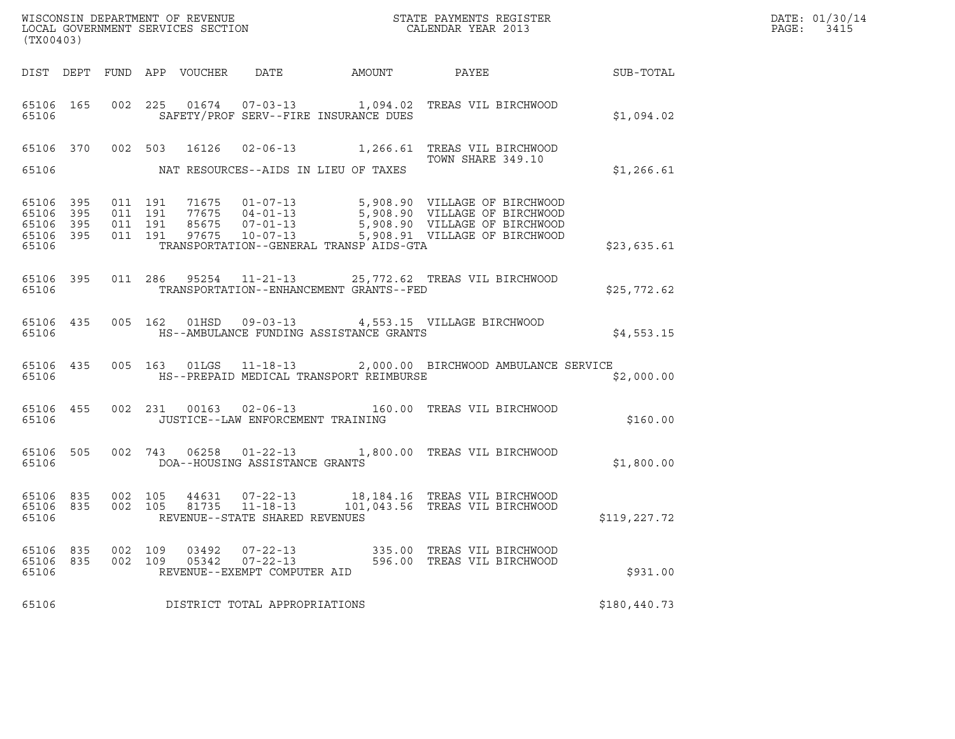| DATE: | 01/30/14 |
|-------|----------|
| PAGE: | 3415     |

| (TX00403)                                                 |            |                   |                               |                |                                                                  |                                         |                                                                                                                                                                                                          | DATE: 01/30/14<br>PAGE:<br>3415 |  |
|-----------------------------------------------------------|------------|-------------------|-------------------------------|----------------|------------------------------------------------------------------|-----------------------------------------|----------------------------------------------------------------------------------------------------------------------------------------------------------------------------------------------------------|---------------------------------|--|
|                                                           |            |                   |                               |                |                                                                  |                                         |                                                                                                                                                                                                          |                                 |  |
| 65106                                                     |            |                   |                               |                |                                                                  | SAFETY/PROF SERV--FIRE INSURANCE DUES   | 65106 165 002 225 01674 07-03-13 1,094.02 TREAS VIL BIRCHWOOD                                                                                                                                            | \$1,094.02                      |  |
| 65106                                                     |            |                   |                               |                |                                                                  | NAT RESOURCES--AIDS IN LIEU OF TAXES    | 65106 370 002 503 16126 02-06-13 1,266.61 TREAS VIL BIRCHWOOD<br>TOWN SHARE 349.10                                                                                                                       | \$1,266.61                      |  |
| 65106 395<br>65106 395<br>65106 395<br>65106 395<br>65106 |            | 011 191           | 011 191<br>011 191<br>011 191 |                |                                                                  | TRANSPORTATION--GENERAL TRANSP AIDS-GTA | 71675  01-07-13  5,908.90  VILLAGE OF BIRCHWOOD<br>77675  04-01-13  5,908.90  VILLAGE OF BIRCHWOOD<br>85675  07-01-13  5,908.90  VILLAGE OF BIRCHWOOD<br>97675  10-07-13  5,908.91  VILLAGE OF BIRCHWOOD | \$23,635.61                     |  |
| 65106                                                     |            |                   |                               |                |                                                                  | TRANSPORTATION--ENHANCEMENT GRANTS--FED | 65106 395 011 286 95254 11-21-13 25,772.62 TREAS VIL BIRCHWOOD                                                                                                                                           | \$25,772.62                     |  |
| 65106                                                     |            |                   |                               |                |                                                                  | HS--AMBULANCE FUNDING ASSISTANCE GRANTS | 65106 435 005 162 01HSD 09-03-13 4,553.15 VILLAGE BIRCHWOOD                                                                                                                                              | \$4,553.15                      |  |
| 65106                                                     |            |                   |                               |                |                                                                  | HS--PREPAID MEDICAL TRANSPORT REIMBURSE | 65106 435 005 163 01LGS 11-18-13 2,000.00 BIRCHWOOD AMBULANCE SERVICE                                                                                                                                    | \$2,000.00                      |  |
| 65106                                                     | 65106 455  |                   |                               |                | JUSTICE--LAW ENFORCEMENT TRAINING                                |                                         | 002 231 00163 02-06-13 160.00 TREAS VIL BIRCHWOOD                                                                                                                                                        | \$160.00                        |  |
| 65106                                                     |            |                   |                               |                | DOA--HOUSING ASSISTANCE GRANTS                                   |                                         | 65106 505 002 743 06258 01-22-13 1,800.00 TREAS VIL BIRCHWOOD                                                                                                                                            | \$1,800.00                      |  |
| 65106 835<br>65106                                        |            | 65106 835 002 105 |                               |                | REVENUE--STATE SHARED REVENUES                                   |                                         | 002 105 44631 07-22-13 18,184.16 TREAS VIL BIRCHWOOD<br>002 105 81735 11-18-13 101,043.56 TREAS VIL BIRCHWOOD                                                                                            | \$119,227.72                    |  |
| 65106<br>65106<br>65106                                   | 835<br>835 | 002<br>002        | 109<br>109                    | 03492<br>05342 | $07 - 22 - 13$<br>$07 - 22 - 13$<br>REVENUE--EXEMPT COMPUTER AID | 335.00                                  | TREAS VIL BIRCHWOOD<br>596.00 TREAS VIL BIRCHWOOD                                                                                                                                                        | \$931.00                        |  |
| 65106                                                     |            |                   |                               |                | DISTRICT TOTAL APPROPRIATIONS                                    |                                         |                                                                                                                                                                                                          | \$180,440.73                    |  |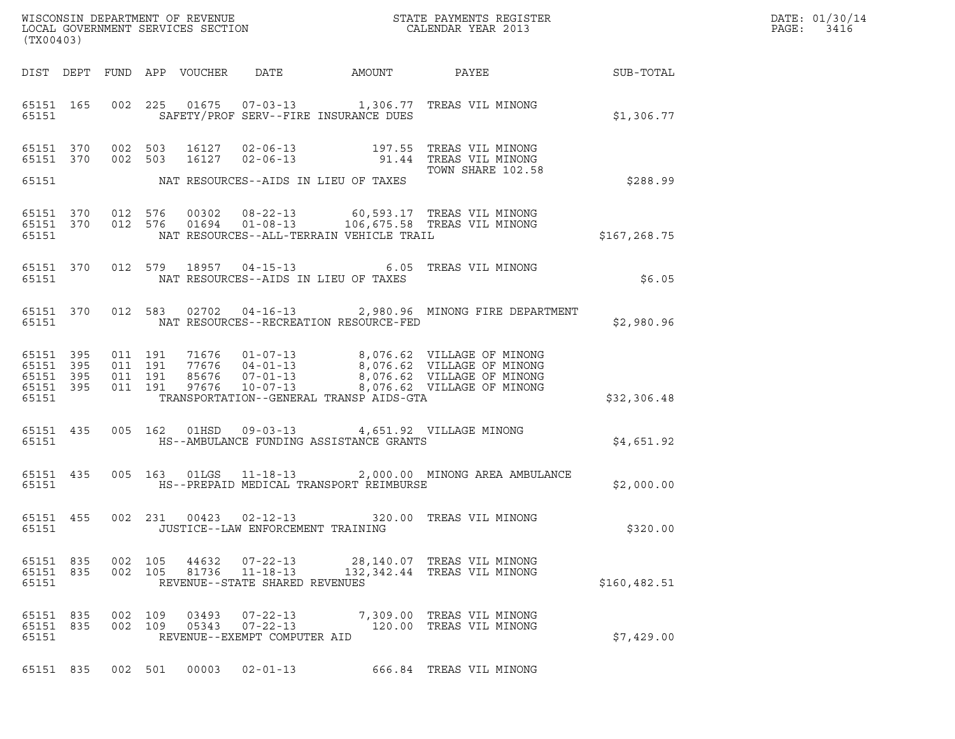| (TX00403)                                                 |           |  |                                          |                            |                                                                    |                                                                                           |                                                                                                                                                                                              |              |
|-----------------------------------------------------------|-----------|--|------------------------------------------|----------------------------|--------------------------------------------------------------------|-------------------------------------------------------------------------------------------|----------------------------------------------------------------------------------------------------------------------------------------------------------------------------------------------|--------------|
|                                                           |           |  |                                          | DIST DEPT FUND APP VOUCHER | DATE                                                               | AMOUNT                                                                                    | PAYEE FOR THE STATE OF THE STATE OF THE STATE OF THE STATE OF THE STATE OF THE STATE OF THE STATE OF THE STATE                                                                               | SUB-TOTAL    |
| 65151                                                     | 65151 165 |  |                                          |                            |                                                                    | SAFETY/PROF SERV--FIRE INSURANCE DUES                                                     | 002 225 01675 07-03-13 1,306.77 TREAS VIL MINONG                                                                                                                                             | \$1,306.77   |
| 65151 370<br>65151 370<br>65151                           |           |  | 002 503<br>002 503                       |                            |                                                                    | NAT RESOURCES--AIDS IN LIEU OF TAXES                                                      | TOWN SHARE 102.58                                                                                                                                                                            | \$288.99     |
| 65151 370<br>65151                                        | 65151 370 |  | 012 576<br>012 576                       | 00302<br>01694             |                                                                    | NAT RESOURCES--ALL-TERRAIN VEHICLE TRAIL                                                  | 08-22-13 60,593.17 TREAS VIL MINONG<br>01-08-13 106,675.58 TREAS VIL MINONG                                                                                                                  | \$167,268.75 |
| 65151                                                     | 65151 370 |  |                                          |                            | 012 579 18957 04-15-13                                             | NAT RESOURCES--AIDS IN LIEU OF TAXES                                                      | 6.05 TREAS VIL MINONG                                                                                                                                                                        | \$6.05       |
| 65151 370<br>65151                                        |           |  | 012 583                                  |                            |                                                                    | NAT RESOURCES--RECREATION RESOURCE-FED                                                    | 02702  04-16-13  2,980.96  MINONG FIRE DEPARTMENT                                                                                                                                            | \$2,980.96   |
| 65151 395<br>65151 395<br>65151 395<br>65151 395<br>65151 |           |  | 011 191<br>011 191<br>011 191<br>011 191 |                            |                                                                    | TRANSPORTATION--GENERAL TRANSP AIDS-GTA                                                   | 71676  01-07-13  8,076.62  VILLAGE OF MINONG<br>77676  04-01-13  8,076.62  VILLAGE OF MINONG<br>85676  07-01-13  8,076.62  VILLAGE OF MINONG<br>97676  10-07-13  8,076.62  VILLAGE OF MINONG | \$32,306.48  |
| 65151 435<br>65151                                        |           |  |                                          |                            |                                                                    | 005 162 01HSD 09-03-13 4,651.92 VILLAGE MINONG<br>HS--AMBULANCE FUNDING ASSISTANCE GRANTS |                                                                                                                                                                                              | \$4,651.92   |
| 65151                                                     | 65151 435 |  |                                          |                            |                                                                    | HS--PREPAID MEDICAL TRANSPORT REIMBURSE                                                   | 005 163 01LGS 11-18-13 2,000.00 MINONG AREA AMBULANCE                                                                                                                                        | \$2,000.00   |
| 65151 455<br>65151                                        |           |  | 002 231                                  |                            | JUSTICE--LAW ENFORCEMENT TRAINING                                  |                                                                                           | 00423  02-12-13  320.00  TREAS VIL MINONG                                                                                                                                                    | \$320.00     |
| 65151 835<br>65151 835<br>65151                           |           |  | 002 105<br>002 105                       |                            | 44632 07-22-13<br>81736 11-18-13<br>REVENUE--STATE SHARED REVENUES |                                                                                           | 28,140.07 TREAS VIL MINONG<br>132,342.44 TREAS VIL MINONG                                                                                                                                    | \$160,482.51 |
| 65151 835<br>65151 835<br>65151                           |           |  | 002 109<br>002 109                       | 03493<br>05343             | $07 - 22 - 13$<br>$07 - 22 - 13$<br>REVENUE--EXEMPT COMPUTER AID   |                                                                                           | 7,309.00 TREAS VIL MINONG<br>120.00 TREAS VIL MINONG                                                                                                                                         | \$7,429.00   |
| 65151 835                                                 |           |  |                                          |                            | 002 501 00003 02-01-13                                             |                                                                                           | 666.84 TREAS VIL MINONG                                                                                                                                                                      |              |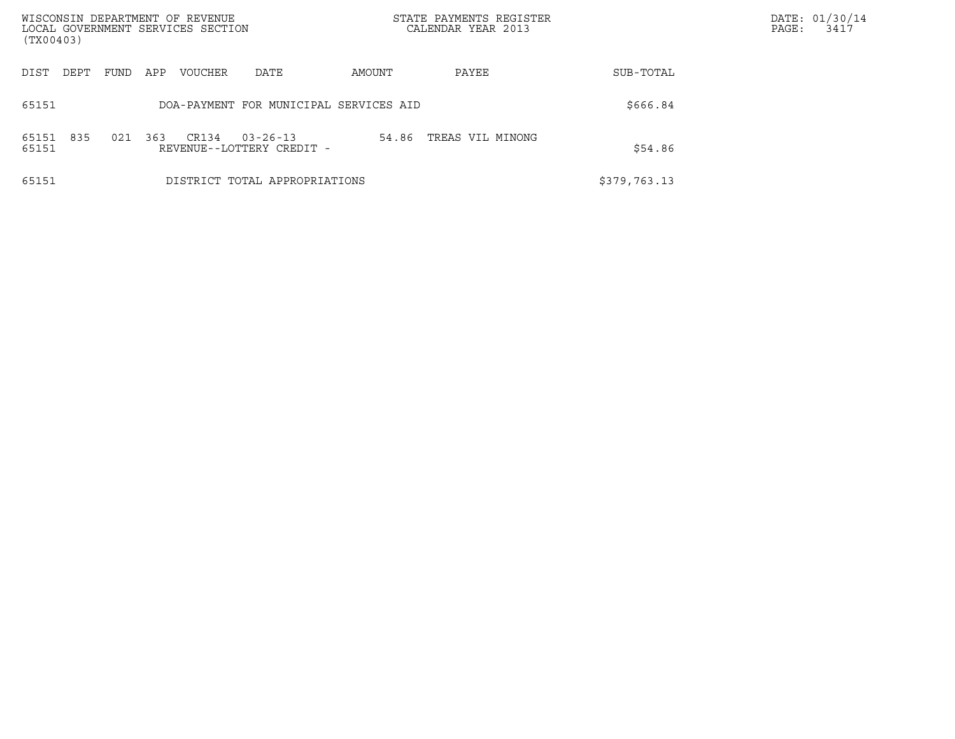| WISCONSIN DEPARTMENT OF REVENUE<br>(TX00403) | LOCAL GOVERNMENT SERVICES SECTION                           | STATE PAYMENTS REGISTER<br>CALENDAR YEAR 2013 |              | DATE: 01/30/14<br>PAGE:<br>3417 |
|----------------------------------------------|-------------------------------------------------------------|-----------------------------------------------|--------------|---------------------------------|
| DIST<br>DEPT<br>FUND                         | APP<br>VOUCHER<br>DATE                                      | AMOUNT<br>PAYEE                               | SUB-TOTAL    |                                 |
| 65151                                        | DOA-PAYMENT FOR MUNICIPAL SERVICES AID                      |                                               | \$666.84     |                                 |
| 835<br>65151<br>021<br>65151                 | 363<br>CR134<br>$03 - 26 - 13$<br>REVENUE--LOTTERY CREDIT - | 54.86<br>TREAS VIL MINONG                     | \$54.86      |                                 |
| 65151                                        | DISTRICT TOTAL APPROPRIATIONS                               |                                               | \$379,763.13 |                                 |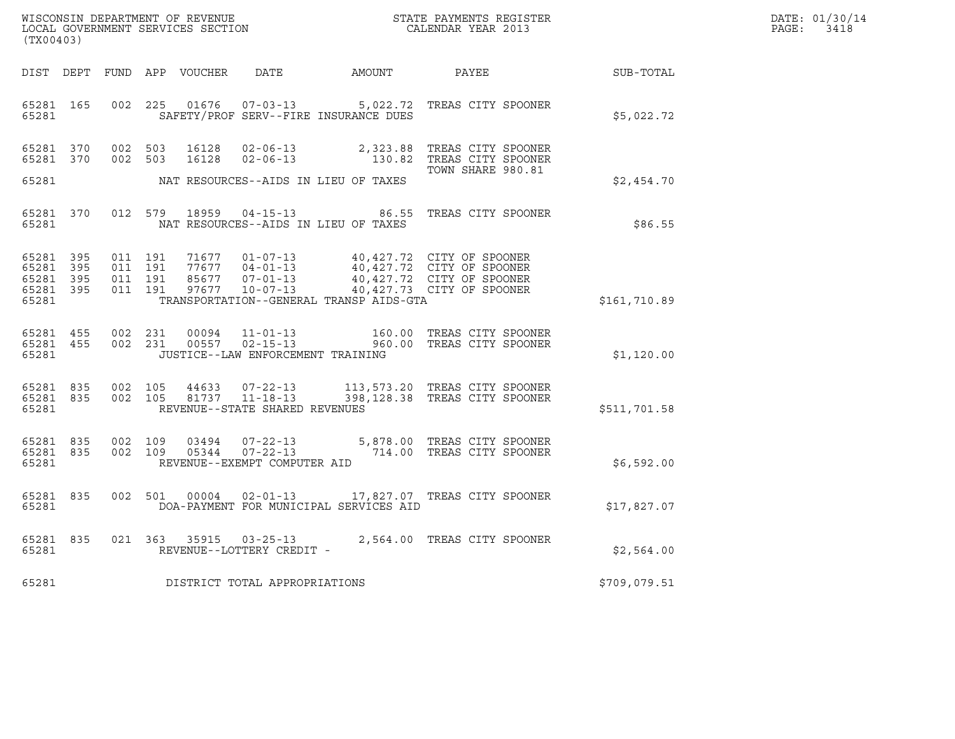| WISCONSIN DEPARTMENT OF REVENUE   | STATE PAYMENTS REGISTER | DATE: 01/30/14 |
|-----------------------------------|-------------------------|----------------|
| LOCAL GOVERNMENT SERVICES SECTION | CALENDAR YEAR 2013      | PAGE:<br>3418  |

|                                                       | WISCONSIN DEPARTMENT OF REVENUE<br>STATE PAYMENTS REGISTER<br>LOCAL GOVERNMENT SERVICES SECTION<br>CALENDAR YEAR 2013<br>(TX00403) |                          |                          |                                  |                                                                      |                                               |                                                                                                                  |              |
|-------------------------------------------------------|------------------------------------------------------------------------------------------------------------------------------------|--------------------------|--------------------------|----------------------------------|----------------------------------------------------------------------|-----------------------------------------------|------------------------------------------------------------------------------------------------------------------|--------------|
| DIST DEPT                                             |                                                                                                                                    |                          |                          | FUND APP VOUCHER                 | DATE                                                                 | AMOUNT                                        | PAYEE                                                                                                            | SUB-TOTAL    |
| 65281 165<br>65281                                    |                                                                                                                                    | 002                      | 225                      | 01676                            | $07 - 03 - 13$                                                       | SAFETY/PROF SERV--FIRE INSURANCE DUES         | 5,022.72 TREAS CITY SPOONER                                                                                      | \$5,022.72   |
| 65281 370<br>65281                                    | 370                                                                                                                                | 002<br>002               | 503<br>503               | 16128<br>16128                   | $02 - 06 - 13$<br>$02 - 06 - 13$                                     | 2,323.88<br>130.82                            | TREAS CITY SPOONER<br>TREAS CITY SPOONER<br>TOWN SHARE 980.81                                                    |              |
| 65281                                                 |                                                                                                                                    |                          |                          |                                  |                                                                      | NAT RESOURCES--AIDS IN LIEU OF TAXES          |                                                                                                                  | \$2,454.70   |
| 65281 370<br>65281                                    |                                                                                                                                    |                          | 012 579                  | 18959                            | $04 - 15 - 13$                                                       | 86.55<br>NAT RESOURCES--AIDS IN LIEU OF TAXES | TREAS CITY SPOONER                                                                                               | \$86.55      |
| 65281<br>65281 395<br>65281 395<br>65281 395<br>65281 | 395                                                                                                                                | 011<br>011<br>011<br>011 | 191<br>191<br>191<br>191 | 71677<br>77677<br>85677<br>97677 | $01 - 07 - 13$<br>$04 - 01 - 13$<br>$07 - 01 - 13$<br>$10 - 07 - 13$ | TRANSPORTATION--GENERAL TRANSP AIDS-GTA       | 40,427.72 CITY OF SPOONER<br>40,427.72 CITY OF SPOONER<br>40,427.72 CITY OF SPOONER<br>40,427.73 CITY OF SPOONER | \$161,710.89 |
| 65281 455<br>65281 455<br>65281                       |                                                                                                                                    | 002<br>002               | 231<br>231               | 00094<br>00557                   | JUSTICE--LAW ENFORCEMENT TRAINING                                    |                                               | 11-01-13 160.00 TREAS CITY SPOONER<br>02-15-13 960.00 TREAS CITY SPOONER                                         | \$1,120.00   |
| 65281<br>65281 835<br>65281                           | 835                                                                                                                                | 002<br>002               | 105<br>105               | 44633<br>81737                   | $07 - 22 - 13$<br>$11 - 18 - 13$<br>REVENUE--STATE SHARED REVENUES   |                                               | 113,573.20 TREAS CITY SPOONER<br>398,128.38 TREAS CITY SPOONER                                                   | \$511,701.58 |
| 65281 835<br>65281 835<br>65281                       |                                                                                                                                    | 002<br>002               | 109<br>109               | 03494<br>05344                   | REVENUE--EXEMPT COMPUTER AID                                         |                                               | 07-22-13 5,878.00 TREAS CITY SPOONER<br>07-22-13 714.00 TREAS CITY SPOONER                                       | \$6,592.00   |
| 65281 835<br>65281                                    |                                                                                                                                    | 002                      | 501                      | 00004                            |                                                                      | DOA-PAYMENT FOR MUNICIPAL SERVICES AID        | 02-01-13 17,827.07 TREAS CITY SPOONER                                                                            | \$17,827.07  |
| 65281 835<br>65281                                    |                                                                                                                                    | 021                      | 363                      | 35915                            | $03 - 25 - 13$<br>REVENUE--LOTTERY CREDIT -                          |                                               | 2,564.00 TREAS CITY SPOONER                                                                                      | \$2,564.00   |
| 65281                                                 |                                                                                                                                    |                          |                          |                                  | DISTRICT TOTAL APPROPRIATIONS                                        |                                               |                                                                                                                  | \$709,079.51 |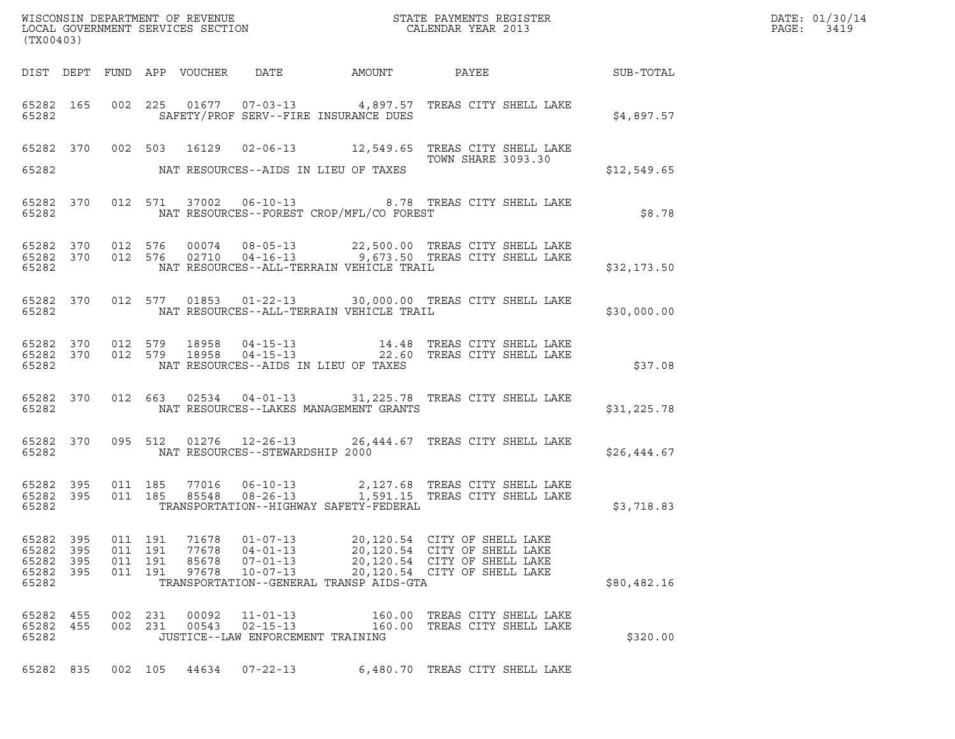| WISCONSIN DEPARTMENT OF REVENUE<br>LOCAL GOVERNMENT SERVICES SECTION<br>(TWO0400)<br>(TX00403) |                     |                                      |     |                                  |                                                                                                                 |                  |                                                                                                                                    |             | DATE: 01/30/14<br>PAGE: 3419 |
|------------------------------------------------------------------------------------------------|---------------------|--------------------------------------|-----|----------------------------------|-----------------------------------------------------------------------------------------------------------------|------------------|------------------------------------------------------------------------------------------------------------------------------------|-------------|------------------------------|
|                                                                                                |                     |                                      |     |                                  |                                                                                                                 |                  | DIST DEPT FUND APP VOUCHER DATE AMOUNT PAYEE SUB-TOTAL                                                                             |             |                              |
|                                                                                                |                     | 65282 and the state of $\sim$        |     |                                  | SAFETY/PROF SERV--FIRE INSURANCE DUES                                                                           |                  | 65282 165 002 225 01677 07-03-13 4,897.57 TREAS CITY SHELL LAKE                                                                    | \$4,897.57  |                              |
|                                                                                                |                     |                                      |     |                                  | 65282 MAT RESOURCES--AIDS IN LIEU OF TAXES                                                                      |                  | 65282 370 002 503 16129 02-06-13 12,549.65 TREAS CITY SHELL LAKE<br>TOWN SHARE 3093.30                                             | \$12,549.65 |                              |
|                                                                                                |                     |                                      |     |                                  |                                                                                                                 |                  |                                                                                                                                    |             |                              |
|                                                                                                |                     |                                      |     |                                  | 65282 NAT RESOURCES--FOREST CROP/MFL/CO FOREST                                                                  |                  | 65282 370 012 571 37002 06-10-13 8.78 TREAS CITY SHELL LAKE                                                                        | \$8.78      |                              |
|                                                                                                |                     |                                      |     |                                  |                                                                                                                 |                  | 65282 370 012 576 00074 08-05-13 22,500.00 TREAS CITY SHELL LAKE 65282 370 012 576 02710 04-16-13 9,673.50 TREAS CITY SHELL LAKE   | \$32,173.50 |                              |
|                                                                                                |                     |                                      |     |                                  |                                                                                                                 |                  | 65282 370 012 577 01853 01-22-13 30,000.00 TREAS CITY SHELL LAKE                                                                   | \$30,000.00 |                              |
| 65282                                                                                          |                     |                                      |     |                                  | NAT RESOURCES--AIDS IN LIEU OF TAXES                                                                            |                  | 65282 370 012 579 18958 04-15-13 14.48 TREAS CITY SHELL LAKE 65282 370 012 579 18958 04-15-13 22.60 TREAS CITY SHELL LAKE          | \$37.08     |                              |
| 65282                                                                                          |                     |                                      |     |                                  | NAT RESOURCES--LAKES MANAGEMENT GRANTS                                                                          |                  | 65282 370 012 663 02534 04-01-13 31,225.78 TREAS CITY SHELL LAKE                                                                   | \$31,225.78 |                              |
| 65282                                                                                          |                     |                                      |     |                                  | NAT RESOURCES--STEWARDSHIP 2000                                                                                 |                  | 65282 370 095 512 01276 12-26-13 26,444.67 TREAS CITY SHELL LAKE                                                                   | \$26,444.67 |                              |
| 65282                                                                                          |                     |                                      |     |                                  | TRANSPORTATION--HIGHWAY SAFETY-FEDERAL                                                                          |                  | 65282 395 011 185 77016 06-10-13 2,127.68 TREAS CITY SHELL LAKE<br>65282 395 011 185 85548 08-26-13 1,591.15 TREAS CITY SHELL LAKE | \$3,718.83  |                              |
| 65282 395<br>65282<br>65282<br>65282<br>65282                                                  | 395<br>395<br>- 395 | 011 191<br>011<br>011 191<br>011 191 | 191 | 71678<br>77678<br>85678<br>97678 | $01 - 07 - 13$<br>$04 - 01 - 13$<br>$07 - 01 - 13$<br>$10 - 07 - 13$<br>TRANSPORTATION--GENERAL TRANSP AIDS-GTA |                  | 20,120.54 CITY OF SHELL LAKE<br>20,120.54 CITY OF SHELL LAKE<br>20,120.54 CITY OF SHELL LAKE<br>20,120.54 CITY OF SHELL LAKE       | \$80,482.16 |                              |
| 65282 455<br>65282 455<br>65282                                                                |                     | 002<br>002 231                       | 231 | 00092<br>00543                   | $11 - 01 - 13$<br>$02 - 15 - 13$<br>JUSTICE--LAW ENFORCEMENT TRAINING                                           | 160.00<br>160.00 | TREAS CITY SHELL LAKE<br>TREAS CITY SHELL LAKE                                                                                     | \$320.00    |                              |
| 65282 835                                                                                      |                     | 002 105                              |     | 44634                            | $07 - 22 - 13$                                                                                                  |                  | 6,480.70 TREAS CITY SHELL LAKE                                                                                                     |             |                              |